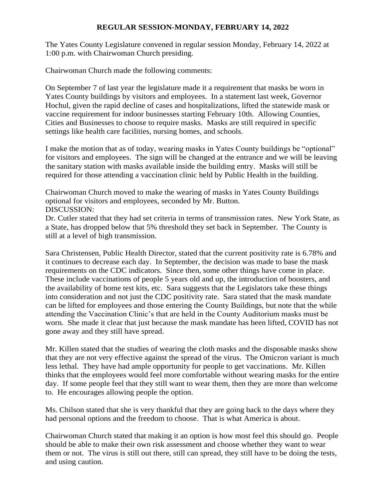## **REGULAR SESSION-MONDAY, FEBRUARY 14, 2022**

The Yates County Legislature convened in regular session Monday, February 14, 2022 at 1:00 p.m. with Chairwoman Church presiding.

Chairwoman Church made the following comments:

On September 7 of last year the legislature made it a requirement that masks be worn in Yates County buildings by visitors and employees. In a statement last week, Governor Hochul, given the rapid decline of cases and hospitalizations, lifted the statewide mask or vaccine requirement for indoor businesses starting February 10th. Allowing Counties, Cities and Businesses to choose to require masks. Masks are still required in specific settings like health care facilities, nursing homes, and schools.

I make the motion that as of today, wearing masks in Yates County buildings be "optional" for visitors and employees. The sign will be changed at the entrance and we will be leaving the sanitary station with masks available inside the building entry. Masks will still be required for those attending a vaccination clinic held by Public Health in the building.

Chairwoman Church moved to make the wearing of masks in Yates County Buildings optional for visitors and employees, seconded by Mr. Button. DISCUSSION:

Dr. Cutler stated that they had set criteria in terms of transmission rates. New York State, as a State, has dropped below that 5% threshold they set back in September. The County is still at a level of high transmission.

Sara Christensen, Public Health Director, stated that the current positivity rate is 6.78% and it continues to decrease each day. In September, the decision was made to base the mask requirements on the CDC indicators. Since then, some other things have come in place. These include vaccinations of people 5 years old and up, the introduction of boosters, and the availability of home test kits, etc. Sara suggests that the Legislators take these things into consideration and not just the CDC positivity rate. Sara stated that the mask mandate can be lifted for employees and those entering the County Buildings, but note that the while attending the Vaccination Clinic's that are held in the County Auditorium masks must be worn. She made it clear that just because the mask mandate has been lifted, COVID has not gone away and they still have spread.

Mr. Killen stated that the studies of wearing the cloth masks and the disposable masks show that they are not very effective against the spread of the virus. The Omicron variant is much less lethal. They have had ample opportunity for people to get vaccinations. Mr. Killen thinks that the employees would feel more comfortable without wearing masks for the entire day. If some people feel that they still want to wear them, then they are more than welcome to. He encourages allowing people the option.

Ms. Chilson stated that she is very thankful that they are going back to the days where they had personal options and the freedom to choose. That is what America is about.

Chairwoman Church stated that making it an option is how most feel this should go. People should be able to make their own risk assessment and choose whether they want to wear them or not. The virus is still out there, still can spread, they still have to be doing the tests, and using caution.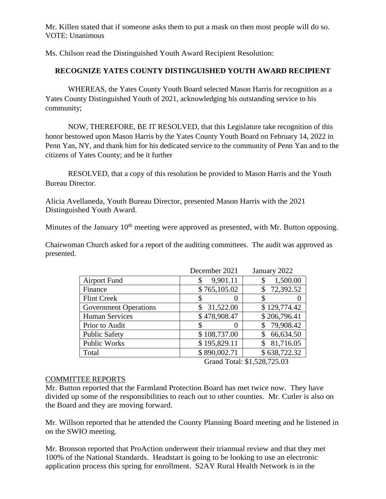Mr. Killen stated that if someone asks them to put a mask on then most people will do so. VOTE: Unanimous

Ms. Chilson read the Distinguished Youth Award Recipient Resolution:

# **RECOGNIZE YATES COUNTY DISTINGUISHED YOUTH AWARD RECIPIENT**

WHEREAS, the Yates County Youth Board selected Mason Harris for recognition as a Yates County Distinguished Youth of 2021, acknowledging his outstanding service to his community;

NOW, THEREFORE, BE IT RESOLVED, that this Legislature take recognition of this honor bestowed upon Mason Harris by the Yates County Youth Board on February 14, 2022 in Penn Yan, NY, and thank him for his dedicated service to the community of Penn Yan and to the citizens of Yates County; and be it further

RESOLVED, that a copy of this resolution be provided to Mason Harris and the Youth Bureau Director.

Alicia Avellaneda, Youth Bureau Director, presented Mason Harris with the 2021 Distinguished Youth Award.

Minutes of the January  $10<sup>th</sup>$  meeting were approved as presented, with Mr. Button opposing.

Chairwoman Church asked for a report of the auditing committees. The audit was approved as presented.

|                              | December 2021 | January 2022    |
|------------------------------|---------------|-----------------|
| <b>Airport Fund</b>          | 9,901.11<br>S | 1,500.00        |
| Finance                      | \$765,105.02  | 72,392.52<br>S  |
| <b>Flint Creek</b>           | \$            |                 |
| <b>Government Operations</b> | 31,522.00     | \$129,774.42    |
| <b>Human Services</b>        | \$478,908.47  | \$206,796.41    |
| Prior to Audit               |               | 79,908.42<br>\$ |
| <b>Public Safety</b>         | \$108,737.00  | 66,634.50       |
| Public Works                 | \$195,829.11  | 81,716.05<br>\$ |
| Total                        | \$890,002.71  | \$638,722.32    |

Grand Total: \$1,528,725.03

### COMMITTEE REPORTS

Mr. Button reported that the Farmland Protection Board has met twice now. They have divided up some of the responsibilities to reach out to other counties. Mr. Cutler is also on the Board and they are moving forward.

Mr. Willson reported that he attended the County Planning Board meeting and he listened in on the SWIO meeting.

Mr. Bronson reported that ProAction underwent their triannual review and that they met 100% of the National Standards. Headstart is going to be looking to use an electronic application process this spring for enrollment. S2AY Rural Health Network is in the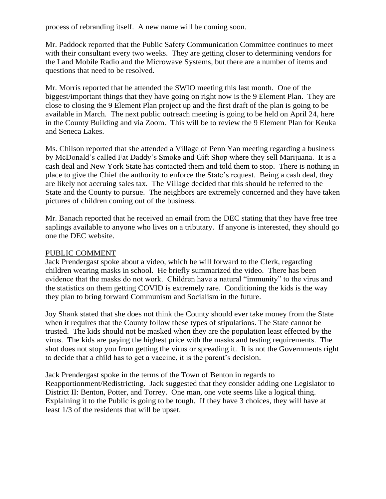process of rebranding itself. A new name will be coming soon.

Mr. Paddock reported that the Public Safety Communication Committee continues to meet with their consultant every two weeks. They are getting closer to determining vendors for the Land Mobile Radio and the Microwave Systems, but there are a number of items and questions that need to be resolved.

Mr. Morris reported that he attended the SWIO meeting this last month. One of the biggest/important things that they have going on right now is the 9 Element Plan. They are close to closing the 9 Element Plan project up and the first draft of the plan is going to be available in March. The next public outreach meeting is going to be held on April 24, here in the County Building and via Zoom. This will be to review the 9 Element Plan for Keuka and Seneca Lakes.

Ms. Chilson reported that she attended a Village of Penn Yan meeting regarding a business by McDonald's called Fat Daddy's Smoke and Gift Shop where they sell Marijuana. It is a cash deal and New York State has contacted them and told them to stop. There is nothing in place to give the Chief the authority to enforce the State's request. Being a cash deal, they are likely not accruing sales tax. The Village decided that this should be referred to the State and the County to pursue. The neighbors are extremely concerned and they have taken pictures of children coming out of the business.

Mr. Banach reported that he received an email from the DEC stating that they have free tree saplings available to anyone who lives on a tributary. If anyone is interested, they should go one the DEC website.

### PUBLIC COMMENT

Jack Prendergast spoke about a video, which he will forward to the Clerk, regarding children wearing masks in school. He briefly summarized the video. There has been evidence that the masks do not work. Children have a natural "immunity" to the virus and the statistics on them getting COVID is extremely rare. Conditioning the kids is the way they plan to bring forward Communism and Socialism in the future.

Joy Shank stated that she does not think the County should ever take money from the State when it requires that the County follow these types of stipulations. The State cannot be trusted. The kids should not be masked when they are the population least effected by the virus. The kids are paying the highest price with the masks and testing requirements. The shot does not stop you from getting the virus or spreading it. It is not the Governments right to decide that a child has to get a vaccine, it is the parent's decision.

Jack Prendergast spoke in the terms of the Town of Benton in regards to Reapportionment/Redistricting. Jack suggested that they consider adding one Legislator to District II: Benton, Potter, and Torrey. One man, one vote seems like a logical thing. Explaining it to the Public is going to be tough. If they have 3 choices, they will have at least 1/3 of the residents that will be upset.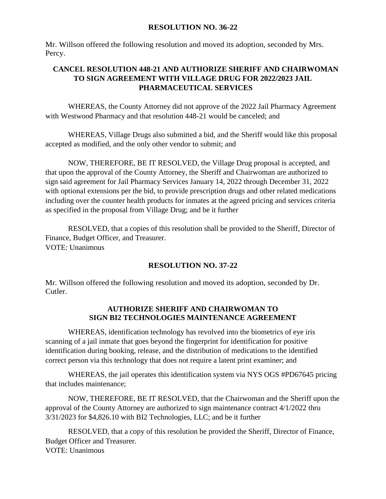### **RESOLUTION NO. 36-22**

Mr. Willson offered the following resolution and moved its adoption, seconded by Mrs. Percy.

# **CANCEL RESOLUTION 448-21 AND AUTHORIZE SHERIFF AND CHAIRWOMAN TO SIGN AGREEMENT WITH VILLAGE DRUG FOR 2022/2023 JAIL PHARMACEUTICAL SERVICES**

WHEREAS, the County Attorney did not approve of the 2022 Jail Pharmacy Agreement with Westwood Pharmacy and that resolution 448-21 would be canceled; and

WHEREAS, Village Drugs also submitted a bid, and the Sheriff would like this proposal accepted as modified, and the only other vendor to submit; and

NOW, THEREFORE, BE IT RESOLVED, the Village Drug proposal is accepted, and that upon the approval of the County Attorney, the Sheriff and Chairwoman are authorized to sign said agreement for Jail Pharmacy Services January 14, 2022 through December 31, 2022 with optional extensions per the bid, to provide prescription drugs and other related medications including over the counter health products for inmates at the agreed pricing and services criteria as specified in the proposal from Village Drug; and be it further

RESOLVED, that a copies of this resolution shall be provided to the Sheriff, Director of Finance, Budget Officer, and Treasurer. VOTE: Unanimous

## **RESOLUTION NO. 37-22**

Mr. Willson offered the following resolution and moved its adoption, seconded by Dr. Cutler.

## **AUTHORIZE SHERIFF AND CHAIRWOMAN TO SIGN BI2 TECHNOLOGIES MAINTENANCE AGREEMENT**

WHEREAS, identification technology has revolved into the biometrics of eye iris scanning of a jail inmate that goes beyond the fingerprint for identification for positive identification during booking, release, and the distribution of medications to the identified correct person via this technology that does not require a latent print examiner; and

WHEREAS, the jail operates this identification system via NYS OGS #PD67645 pricing that includes maintenance;

NOW, THEREFORE, BE IT RESOLVED, that the Chairwoman and the Sheriff upon the approval of the County Attorney are authorized to sign maintenance contract 4/1/2022 thru 3/31/2023 for \$4,826.10 with BI2 Technologies, LLC; and be it further

RESOLVED, that a copy of this resolution be provided the Sheriff, Director of Finance, Budget Officer and Treasurer. VOTE: Unanimous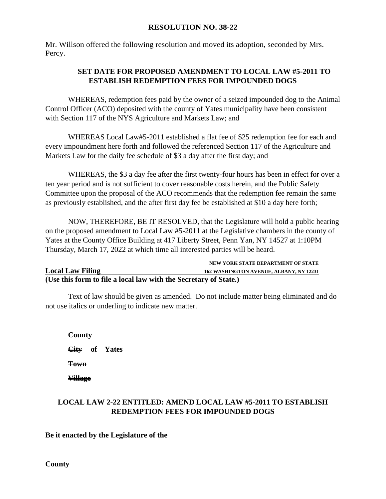### **RESOLUTION NO. 38-22**

Mr. Willson offered the following resolution and moved its adoption, seconded by Mrs. Percy.

# **SET DATE FOR PROPOSED AMENDMENT TO LOCAL LAW #5-2011 TO ESTABLISH REDEMPTION FEES FOR IMPOUNDED DOGS**

WHEREAS, redemption fees paid by the owner of a seized impounded dog to the Animal Control Officer (ACO) deposited with the county of Yates municipality have been consistent with Section 117 of the NYS Agriculture and Markets Law; and

WHEREAS Local Law#5-2011 established a flat fee of \$25 redemption fee for each and every impoundment here forth and followed the referenced Section 117 of the Agriculture and Markets Law for the daily fee schedule of \$3 a day after the first day; and

WHEREAS, the \$3 a day fee after the first twenty-four hours has been in effect for over a ten year period and is not sufficient to cover reasonable costs herein, and the Public Safety Committee upon the proposal of the ACO recommends that the redemption fee remain the same as previously established, and the after first day fee be established at \$10 a day here forth;

NOW, THEREFORE, BE IT RESOLVED, that the Legislature will hold a public hearing on the proposed amendment to Local Law #5-2011 at the Legislative chambers in the county of Yates at the County Office Building at 417 Liberty Street, Penn Yan, NY 14527 at 1:10PM Thursday, March 17, 2022 at which time all interested parties will be heard.

|                                                                  | NEW YORK STATE DEPARTMENT OF STATE             |
|------------------------------------------------------------------|------------------------------------------------|
| <b>Local Law Filing</b>                                          | <b>162 WASHINGTON AVENUE, ALBANY, NY 12231</b> |
| (Use this form to file a local law with the Secretary of State.) |                                                |

Text of law should be given as amended. Do not include matter being eliminated and do not use italics or underling to indicate new matter.

**County City of Yates Town Village** 

## **LOCAL LAW 2-22 ENTITLED: AMEND LOCAL LAW #5-2011 TO ESTABLISH REDEMPTION FEES FOR IMPOUNDED DOGS**

**Be it enacted by the Legislature of the**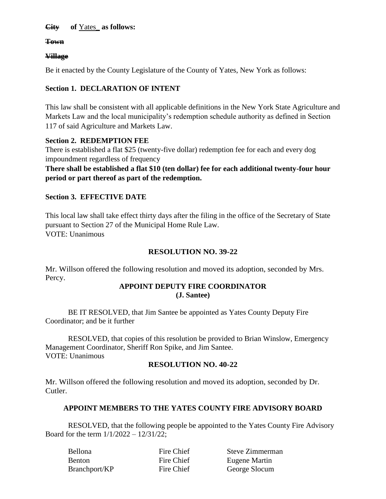## **City of** Yates\_ **as follows:**

**Town**

### **Village**

Be it enacted by the County Legislature of the County of Yates, New York as follows:

# **Section 1. DECLARATION OF INTENT**

This law shall be consistent with all applicable definitions in the New York State Agriculture and Markets Law and the local municipality's redemption schedule authority as defined in Section 117 of said Agriculture and Markets Law.

## **Section 2. REDEMPTION FEE**

There is established a flat \$25 (twenty-five dollar) redemption fee for each and every dog impoundment regardless of frequency

**There shall be established a flat \$10 (ten dollar) fee for each additional twenty-four hour period or part thereof as part of the redemption.**

## **Section 3. EFFECTIVE DATE**

This local law shall take effect thirty days after the filing in the office of the Secretary of State pursuant to Section 27 of the Municipal Home Rule Law. VOTE: Unanimous

## **RESOLUTION NO. 39-22**

Mr. Willson offered the following resolution and moved its adoption, seconded by Mrs. Percy.

#### **APPOINT DEPUTY FIRE COORDINATOR (J. Santee)**

BE IT RESOLVED, that Jim Santee be appointed as Yates County Deputy Fire Coordinator; and be it further

RESOLVED, that copies of this resolution be provided to Brian Winslow, Emergency Management Coordinator, Sheriff Ron Spike, and Jim Santee. VOTE: Unanimous

## **RESOLUTION NO. 40-22**

Mr. Willson offered the following resolution and moved its adoption, seconded by Dr. Cutler.

## **APPOINT MEMBERS TO THE YATES COUNTY FIRE ADVISORY BOARD**

RESOLVED, that the following people be appointed to the Yates County Fire Advisory Board for the term  $1/1/2022 - 12/31/22$ ;

| <b>Bellona</b> | Fire Chief | Steve Zimmerman |
|----------------|------------|-----------------|
| <b>Benton</b>  | Fire Chief | Eugene Martin   |
| Branchport/KP  | Fire Chief | George Slocum   |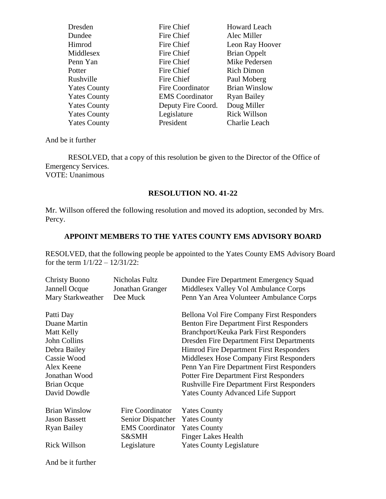| Dresden             | Fire Chief             | <b>Howard Leach</b>  |
|---------------------|------------------------|----------------------|
| Dundee              | Fire Chief             | Alec Miller          |
| Himrod              | Fire Chief             | Leon Ray Hoover      |
| Middlesex           | Fire Chief             | <b>Brian Oppelt</b>  |
| Penn Yan            | Fire Chief             | Mike Pedersen        |
| Potter              | Fire Chief             | <b>Rich Dimon</b>    |
| Rushville           | Fire Chief             | Paul Moberg          |
| <b>Yates County</b> | Fire Coordinator       | <b>Brian Winslow</b> |
| <b>Yates County</b> | <b>EMS</b> Coordinator | <b>Ryan Bailey</b>   |
| <b>Yates County</b> | Deputy Fire Coord.     | Doug Miller          |
| <b>Yates County</b> | Legislature            | <b>Rick Willson</b>  |
| <b>Yates County</b> | President              | Charlie Leach        |
|                     |                        |                      |

RESOLVED, that a copy of this resolution be given to the Director of the Office of Emergency Services. VOTE: Unanimous

#### **RESOLUTION NO. 41-22**

Mr. Willson offered the following resolution and moved its adoption, seconded by Mrs. Percy.

## **APPOINT MEMBERS TO THE YATES COUNTY EMS ADVISORY BOARD**

RESOLVED, that the following people be appointed to the Yates County EMS Advisory Board for the term  $1/1/22 - 12/31/22$ :

| <b>Christy Buono</b><br>Jannell Ocque<br>Mary Starkweather | Nicholas Fultz<br>Jonathan Granger<br>Dee Muck | Dundee Fire Department Emergency Squad<br>Middlesex Valley Vol Ambulance Corps<br>Penn Yan Area Volunteer Ambulance Corps |
|------------------------------------------------------------|------------------------------------------------|---------------------------------------------------------------------------------------------------------------------------|
| Patti Day                                                  |                                                | <b>Bellona Vol Fire Company First Responders</b>                                                                          |
| Duane Martin                                               |                                                | <b>Benton Fire Department First Responders</b>                                                                            |
| Matt Kelly                                                 |                                                | <b>Branchport/Keuka Park First Responders</b>                                                                             |
| John Collins                                               |                                                | <b>Dresden Fire Department First Departments</b>                                                                          |
| Debra Bailey                                               |                                                | <b>Himrod Fire Department First Responders</b>                                                                            |
| Cassie Wood                                                |                                                | Middlesex Hose Company First Responders                                                                                   |
| Alex Keene                                                 |                                                | Penn Yan Fire Department First Responders                                                                                 |
| Jonathan Wood                                              |                                                | <b>Potter Fire Department First Responders</b>                                                                            |
| <b>Brian Ocque</b>                                         |                                                | <b>Rushville Fire Department First Responders</b>                                                                         |
| David Dowdle                                               |                                                | <b>Yates County Advanced Life Support</b>                                                                                 |
| <b>Brian Winslow</b>                                       | Fire Coordinator                               | <b>Yates County</b>                                                                                                       |
| <b>Jason Bassett</b>                                       | Senior Dispatcher                              | <b>Yates County</b>                                                                                                       |
| <b>Ryan Bailey</b>                                         | <b>EMS</b> Coordinator                         | <b>Yates County</b>                                                                                                       |
|                                                            | S&SMH                                          | <b>Finger Lakes Health</b>                                                                                                |
| <b>Rick Willson</b>                                        | Legislature                                    | <b>Yates County Legislature</b>                                                                                           |

And be it further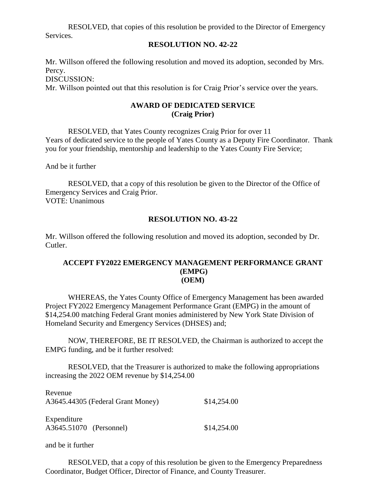RESOLVED, that copies of this resolution be provided to the Director of Emergency Services.

#### **RESOLUTION NO. 42-22**

Mr. Willson offered the following resolution and moved its adoption, seconded by Mrs. Percy. DISCUSSION:

Mr. Willson pointed out that this resolution is for Craig Prior's service over the years.

## **AWARD OF DEDICATED SERVICE (Craig Prior)**

RESOLVED, that Yates County recognizes Craig Prior for over 11 Years of dedicated service to the people of Yates County as a Deputy Fire Coordinator. Thank you for your friendship, mentorship and leadership to the Yates County Fire Service;

And be it further

RESOLVED, that a copy of this resolution be given to the Director of the Office of Emergency Services and Craig Prior. VOTE: Unanimous

### **RESOLUTION NO. 43-22**

Mr. Willson offered the following resolution and moved its adoption, seconded by Dr. Cutler.

### **ACCEPT FY2022 EMERGENCY MANAGEMENT PERFORMANCE GRANT (EMPG) (OEM)**

WHEREAS, the Yates County Office of Emergency Management has been awarded Project FY2022 Emergency Management Performance Grant (EMPG) in the amount of \$14,254.00 matching Federal Grant monies administered by New York State Division of Homeland Security and Emergency Services (DHSES) and;

NOW, THEREFORE, BE IT RESOLVED, the Chairman is authorized to accept the EMPG funding, and be it further resolved:

RESOLVED, that the Treasurer is authorized to make the following appropriations increasing the 2022 OEM revenue by \$14,254.00

| Revenue<br>A3645.44305 (Federal Grant Money) | \$14,254.00 |
|----------------------------------------------|-------------|
| Expenditure<br>A3645.51070 (Personnel)       | \$14,254.00 |

and be it further

RESOLVED, that a copy of this resolution be given to the Emergency Preparedness Coordinator, Budget Officer, Director of Finance, and County Treasurer.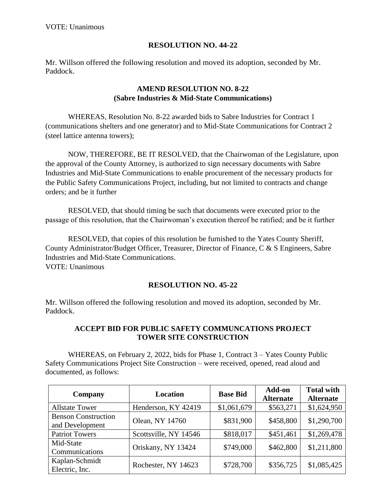# **RESOLUTION NO. 44-22**

Mr. Willson offered the following resolution and moved its adoption, seconded by Mr. Paddock.

# **AMEND RESOLUTION NO. 8-22 (Sabre Industries & Mid-State Communications)**

WHEREAS, Resolution No. 8-22 awarded bids to Sabre Industries for Contract 1 (communications shelters and one generator) and to Mid-State Communications for Contract 2 (steel lattice antenna towers);

NOW, THEREFORE, BE IT RESOLVED, that the Chairwoman of the Legislature, upon the approval of the County Attorney, is authorized to sign necessary documents with Sabre Industries and Mid-State Communications to enable procurement of the necessary products for the Public Safety Communications Project, including, but not limited to contracts and change orders; and be it further

RESOLVED, that should timing be such that documents were executed prior to the passage of this resolution, that the Chairwoman's execution thereof be ratified; and be it further

RESOLVED, that copies of this resolution be furnished to the Yates County Sheriff, County Administrator/Budget Officer, Treasurer, Director of Finance, C & S Engineers, Sabre Industries and Mid-State Communications. VOTE: Unanimous

## **RESOLUTION NO. 45-22**

Mr. Willson offered the following resolution and moved its adoption, seconded by Mr. Paddock.

## **ACCEPT BID FOR PUBLIC SAFETY COMMUNCATIONS PROJECT TOWER SITE CONSTRUCTION**

WHEREAS, on February 2, 2022, bids for Phase 1, Contract 3 – Yates County Public Safety Communications Project Site Construction – were received, opened, read aloud and documented, as follows:

| Company                                       | <b>Location</b>       | <b>Base Bid</b> | Add-on           | <b>Total with</b> |
|-----------------------------------------------|-----------------------|-----------------|------------------|-------------------|
|                                               |                       |                 | <b>Alternate</b> | <b>Alternate</b>  |
| <b>Allstate Tower</b>                         | Henderson, KY 42419   | \$1,061,679     | \$563,271        | \$1,624,950       |
| <b>Benson Construction</b><br>and Development | Olean, NY 14760       | \$831,900       | \$458,800        | \$1,290,700       |
| <b>Patriot Towers</b>                         | Scottsville, NY 14546 | \$818,017       | \$451,461        | \$1,269,478       |
| Mid-State<br>Communications                   | Oriskany, NY 13424    | \$749,000       | \$462,800        | \$1,211,800       |
| Kaplan-Schmidt<br>Electric, Inc.              | Rochester, NY 14623   | \$728,700       | \$356,725        | \$1,085,425       |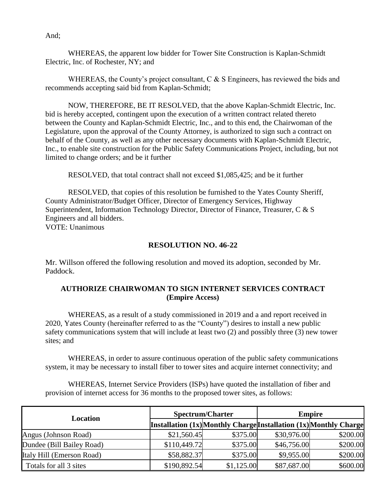And;

WHEREAS, the apparent low bidder for Tower Site Construction is Kaplan-Schmidt Electric, Inc. of Rochester, NY; and

WHEREAS, the County's project consultant, C & S Engineers, has reviewed the bids and recommends accepting said bid from Kaplan-Schmidt;

NOW, THEREFORE, BE IT RESOLVED, that the above Kaplan-Schmidt Electric, Inc. bid is hereby accepted, contingent upon the execution of a written contract related thereto between the County and Kaplan-Schmidt Electric, Inc., and to this end, the Chairwoman of the Legislature, upon the approval of the County Attorney, is authorized to sign such a contract on behalf of the County, as well as any other necessary documents with Kaplan-Schmidt Electric, Inc., to enable site construction for the Public Safety Communications Project, including, but not limited to change orders; and be it further

RESOLVED, that total contract shall not exceed \$1,085,425; and be it further

RESOLVED, that copies of this resolution be furnished to the Yates County Sheriff, County Administrator/Budget Officer, Director of Emergency Services, Highway Superintendent, Information Technology Director, Director of Finance, Treasurer, C & S Engineers and all bidders. VOTE: Unanimous

#### **RESOLUTION NO. 46-22**

Mr. Willson offered the following resolution and moved its adoption, seconded by Mr. Paddock.

## **AUTHORIZE CHAIRWOMAN TO SIGN INTERNET SERVICES CONTRACT (Empire Access)**

WHEREAS, as a result of a study commissioned in 2019 and a and report received in 2020, Yates County (hereinafter referred to as the "County") desires to install a new public safety communications system that will include at least two (2) and possibly three (3) new tower sites; and

WHEREAS, in order to assure continuous operation of the public safety communications system, it may be necessary to install fiber to tower sites and acquire internet connectivity; and

WHEREAS, Internet Service Providers (ISPs) have quoted the installation of fiber and provision of internet access for 36 months to the proposed tower sites, as follows:

| Location                  | <b>Spectrum/Charter</b> |            | <b>Empire</b> |                                                                   |
|---------------------------|-------------------------|------------|---------------|-------------------------------------------------------------------|
|                           |                         |            |               | Installation (1x) Monthly Charge Installation (1x) Monthly Charge |
| Angus (Johnson Road)      | \$21,560.45             | \$375.00   | \$30,976.00   | \$200.00                                                          |
| Dundee (Bill Bailey Road) | \$110,449.72            | \$375.00   | \$46,756.00   | \$200.00                                                          |
| Italy Hill (Emerson Road) | \$58,882.37             | \$375.00   | \$9,955.00    | \$200.00                                                          |
| Totals for all 3 sites    | \$190,892.54            | \$1,125.00 | \$87,687.00   | \$600.00                                                          |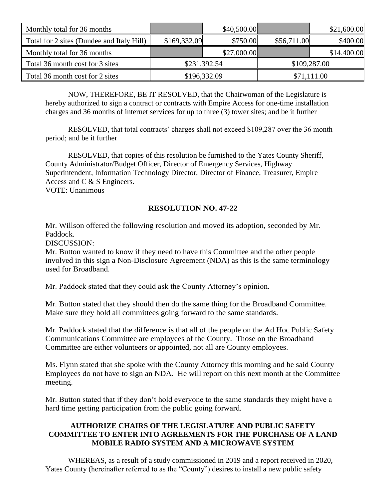| Monthly total for 36 months               |              | \$40,500.00  |             | \$21,600.00  |
|-------------------------------------------|--------------|--------------|-------------|--------------|
| Total for 2 sites (Dundee and Italy Hill) | \$169,332.09 | \$750.00     | \$56,711.00 | \$400.00     |
| Monthly total for 36 months               |              | \$27,000.00  |             | \$14,400.00  |
| Total 36 month cost for 3 sites           |              | \$231,392.54 |             | \$109,287.00 |
| Total 36 month cost for 2 sites           |              | \$196,332.09 |             | \$71,111.00  |

NOW, THEREFORE, BE IT RESOLVED, that the Chairwoman of the Legislature is hereby authorized to sign a contract or contracts with Empire Access for one-time installation charges and 36 months of internet services for up to three (3) tower sites; and be it further

RESOLVED, that total contracts' charges shall not exceed \$109,287 over the 36 month period; and be it further

RESOLVED, that copies of this resolution be furnished to the Yates County Sheriff, County Administrator/Budget Officer, Director of Emergency Services, Highway Superintendent, Information Technology Director, Director of Finance, Treasurer, Empire Access and C & S Engineers. VOTE: Unanimous

## **RESOLUTION NO. 47-22**

Mr. Willson offered the following resolution and moved its adoption, seconded by Mr. Paddock.

DISCUSSION:

Mr. Button wanted to know if they need to have this Committee and the other people involved in this sign a Non-Disclosure Agreement (NDA) as this is the same terminology used for Broadband.

Mr. Paddock stated that they could ask the County Attorney's opinion.

Mr. Button stated that they should then do the same thing for the Broadband Committee. Make sure they hold all committees going forward to the same standards.

Mr. Paddock stated that the difference is that all of the people on the Ad Hoc Public Safety Communications Committee are employees of the County. Those on the Broadband Committee are either volunteers or appointed, not all are County employees.

Ms. Flynn stated that she spoke with the County Attorney this morning and he said County Employees do not have to sign an NDA. He will report on this next month at the Committee meeting.

Mr. Button stated that if they don't hold everyone to the same standards they might have a hard time getting participation from the public going forward.

## **AUTHORIZE CHAIRS OF THE LEGISLATURE AND PUBLIC SAFETY COMMITTEE TO ENTER INTO AGREEMENTS FOR THE PURCHASE OF A LAND MOBILE RADIO SYSTEM AND A MICROWAVE SYSTEM**

WHEREAS, as a result of a study commissioned in 2019 and a report received in 2020, Yates County (hereinafter referred to as the "County") desires to install a new public safety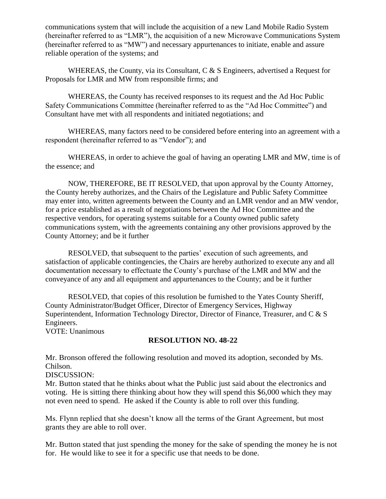communications system that will include the acquisition of a new Land Mobile Radio System (hereinafter referred to as "LMR"), the acquisition of a new Microwave Communications System (hereinafter referred to as "MW") and necessary appurtenances to initiate, enable and assure reliable operation of the systems; and

WHEREAS, the County, via its Consultant, C & S Engineers, advertised a Request for Proposals for LMR and MW from responsible firms; and

WHEREAS, the County has received responses to its request and the Ad Hoc Public Safety Communications Committee (hereinafter referred to as the "Ad Hoc Committee") and Consultant have met with all respondents and initiated negotiations; and

WHEREAS, many factors need to be considered before entering into an agreement with a respondent (hereinafter referred to as "Vendor"); and

WHEREAS, in order to achieve the goal of having an operating LMR and MW, time is of the essence; and

NOW, THEREFORE, BE IT RESOLVED, that upon approval by the County Attorney, the County hereby authorizes, and the Chairs of the Legislature and Public Safety Committee may enter into, written agreements between the County and an LMR vendor and an MW vendor, for a price established as a result of negotiations between the Ad Hoc Committee and the respective vendors, for operating systems suitable for a County owned public safety communications system, with the agreements containing any other provisions approved by the County Attorney; and be it further

RESOLVED, that subsequent to the parties' execution of such agreements, and satisfaction of applicable contingencies, the Chairs are hereby authorized to execute any and all documentation necessary to effectuate the County's purchase of the LMR and MW and the conveyance of any and all equipment and appurtenances to the County; and be it further

RESOLVED, that copies of this resolution be furnished to the Yates County Sheriff, County Administrator/Budget Officer, Director of Emergency Services, Highway Superintendent, Information Technology Director, Director of Finance, Treasurer, and C & S Engineers.

VOTE: Unanimous

## **RESOLUTION NO. 48-22**

Mr. Bronson offered the following resolution and moved its adoption, seconded by Ms. Chilson.

DISCUSSION:

Mr. Button stated that he thinks about what the Public just said about the electronics and voting. He is sitting there thinking about how they will spend this \$6,000 which they may not even need to spend. He asked if the County is able to roll over this funding.

Ms. Flynn replied that she doesn't know all the terms of the Grant Agreement, but most grants they are able to roll over.

Mr. Button stated that just spending the money for the sake of spending the money he is not for. He would like to see it for a specific use that needs to be done.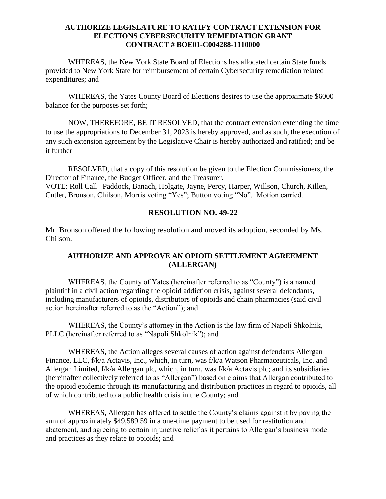### **AUTHORIZE LEGISLATURE TO RATIFY CONTRACT EXTENSION FOR ELECTIONS CYBERSECURITY REMEDIATION GRANT CONTRACT # BOE01-C004288-1110000**

WHEREAS, the New York State Board of Elections has allocated certain State funds provided to New York State for reimbursement of certain Cybersecurity remediation related expenditures; and

WHEREAS, the Yates County Board of Elections desires to use the approximate \$6000 balance for the purposes set forth;

NOW, THEREFORE, BE IT RESOLVED, that the contract extension extending the time to use the appropriations to December 31, 2023 is hereby approved, and as such, the execution of any such extension agreement by the Legislative Chair is hereby authorized and ratified; and be it further

RESOLVED, that a copy of this resolution be given to the Election Commissioners, the Director of Finance, the Budget Officer, and the Treasurer. VOTE: Roll Call –Paddock, Banach, Holgate, Jayne, Percy, Harper, Willson, Church, Killen, Cutler, Bronson, Chilson, Morris voting "Yes"; Button voting "No". Motion carried.

## **RESOLUTION NO. 49-22**

Mr. Bronson offered the following resolution and moved its adoption, seconded by Ms. Chilson.

# **AUTHORIZE AND APPROVE AN OPIOID SETTLEMENT AGREEMENT (ALLERGAN)**

WHEREAS, the County of Yates (hereinafter referred to as "County") is a named plaintiff in a civil action regarding the opioid addiction crisis, against several defendants, including manufacturers of opioids, distributors of opioids and chain pharmacies (said civil action hereinafter referred to as the "Action"); and

WHEREAS, the County's attorney in the Action is the law firm of Napoli Shkolnik, PLLC (hereinafter referred to as "Napoli Shkolnik"); and

WHEREAS, the Action alleges several causes of action against defendants Allergan Finance, LLC, f/k/a Actavis, Inc., which, in turn, was f/k/a Watson Pharmaceuticals, Inc. and Allergan Limited, f/k/a Allergan plc, which, in turn, was f/k/a Actavis plc; and its subsidiaries (hereinafter collectively referred to as "Allergan") based on claims that Allergan contributed to the opioid epidemic through its manufacturing and distribution practices in regard to opioids, all of which contributed to a public health crisis in the County; and

WHEREAS, Allergan has offered to settle the County's claims against it by paying the sum of approximately \$49,589.59 in a one-time payment to be used for restitution and abatement, and agreeing to certain injunctive relief as it pertains to Allergan's business model and practices as they relate to opioids; and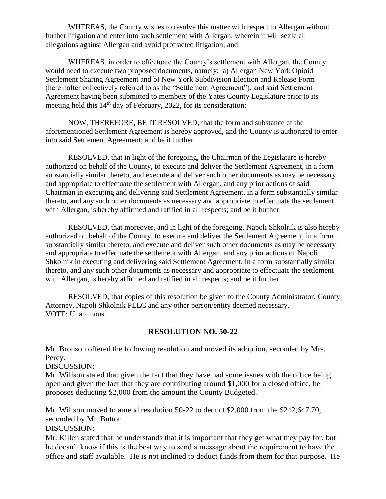WHEREAS, the County wishes to resolve this matter with respect to Allergan without further litigation and enter into such settlement with Allergan, wherein it will settle all allegations against Allergan and avoid protracted litigation; and

WHEREAS, in order to effectuate the County's settlement with Allergan, the County would need to execute two proposed documents, namely: a) Allergan New York Opioid Settlement Sharing Agreement and b) New York Subdivision Election and Release Form (hereinafter collectively referred to as the "Settlement Agreement"), and said Settlement Agreement having been submitted to members of the Yates County Legislature prior to its meeting held this  $14<sup>th</sup>$  day of February, 2022, for its consideration;

NOW, THEREFORE, BE IT RESOLVED, that the form and substance of the aforementioned Settlement Agreement is hereby approved, and the County is authorized to enter into said Settlement Agreement; and be it further

RESOLVED, that in light of the foregoing, the Chairman of the Legislature is hereby authorized on behalf of the County, to execute and deliver the Settlement Agreement, in a form substantially similar thereto, and execute and deliver such other documents as may be necessary and appropriate to effectuate the settlement with Allergan, and any prior actions of said Chairman in executing and delivering said Settlement Agreement, in a form substantially similar thereto, and any such other documents as necessary and appropriate to effectuate the settlement with Allergan, is hereby affirmed and ratified in all respects; and be it further

RESOLVED, that moreover, and in light of the foregoing, Napoli Shkolnik is also hereby authorized on behalf of the County, to execute and deliver the Settlement Agreement, in a form substantially similar thereto, and execute and deliver such other documents as may be necessary and appropriate to effectuate the settlement with Allergan, and any prior actions of Napoli Shkolnik in executing and delivering said Settlement Agreement, in a form substantially similar thereto, and any such other documents as necessary and appropriate to effectuate the settlement with Allergan, is hereby affirmed and ratified in all respects; and be it further

RESOLVED, that copies of this resolution be given to the County Administrator, County Attorney, Napoli Shkolnik PLLC and any other person/entity deemed necessary. VOTE: Unanimous

## **RESOLUTION NO. 50-22**

Mr. Bronson offered the following resolution and moved its adoption, seconded by Mrs. Percy.

DISCUSSION:

Mr. Willson stated that given the fact that they have had some issues with the office being open and given the fact that they are contributing around \$1,000 for a closed office, he proposes deducting \$2,000 from the amount the County Budgeted.

Mr. Willson moved to amend resolution 50-22 to deduct \$2,000 from the \$242,647.70, seconded by Mr. Button.

DISCUSSION:

Mr. Killen stated that he understands that it is important that they get what they pay for, but he doesn't know if this is the best way to send a message about the requirement to have the office and staff available. He is not inclined to deduct funds from them for that purpose. He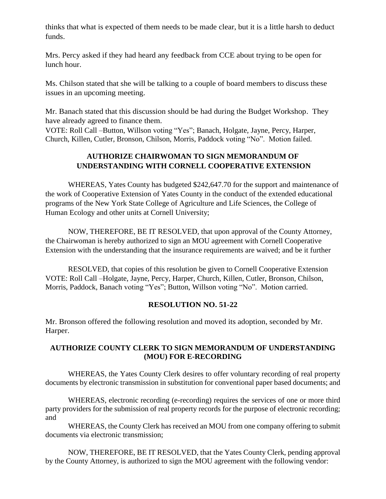thinks that what is expected of them needs to be made clear, but it is a little harsh to deduct funds.

Mrs. Percy asked if they had heard any feedback from CCE about trying to be open for lunch hour.

Ms. Chilson stated that she will be talking to a couple of board members to discuss these issues in an upcoming meeting.

Mr. Banach stated that this discussion should be had during the Budget Workshop. They have already agreed to finance them.

VOTE: Roll Call –Button, Willson voting "Yes"; Banach, Holgate, Jayne, Percy, Harper, Church, Killen, Cutler, Bronson, Chilson, Morris, Paddock voting "No". Motion failed.

# **AUTHORIZE CHAIRWOMAN TO SIGN MEMORANDUM OF UNDERSTANDING WITH CORNELL COOPERATIVE EXTENSION**

WHEREAS, Yates County has budgeted \$242,647.70 for the support and maintenance of the work of Cooperative Extension of Yates County in the conduct of the extended educational programs of the New York State College of Agriculture and Life Sciences, the College of Human Ecology and other units at Cornell University;

NOW, THEREFORE, BE IT RESOLVED, that upon approval of the County Attorney, the Chairwoman is hereby authorized to sign an MOU agreement with Cornell Cooperative Extension with the understanding that the insurance requirements are waived; and be it further

RESOLVED, that copies of this resolution be given to Cornell Cooperative Extension VOTE: Roll Call –Holgate, Jayne, Percy, Harper, Church, Killen, Cutler, Bronson, Chilson, Morris, Paddock, Banach voting "Yes"; Button, Willson voting "No". Motion carried.

# **RESOLUTION NO. 51-22**

Mr. Bronson offered the following resolution and moved its adoption, seconded by Mr. Harper.

## **AUTHORIZE COUNTY CLERK TO SIGN MEMORANDUM OF UNDERSTANDING (MOU) FOR E-RECORDING**

WHEREAS, the Yates County Clerk desires to offer voluntary recording of real property documents by electronic transmission in substitution for conventional paper based documents; and

WHEREAS, electronic recording (e-recording) requires the services of one or more third party providers for the submission of real property records for the purpose of electronic recording; and

WHEREAS, the County Clerk has received an MOU from one company offering to submit documents via electronic transmission;

NOW, THEREFORE, BE IT RESOLVED, that the Yates County Clerk, pending approval by the County Attorney, is authorized to sign the MOU agreement with the following vendor: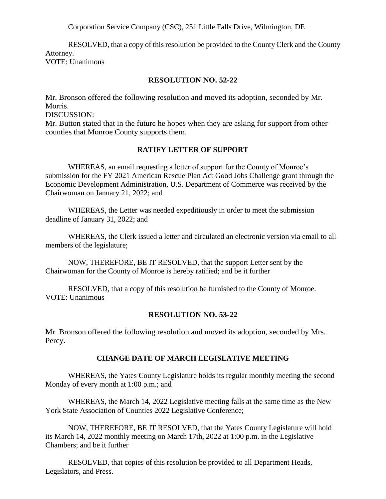Corporation Service Company (CSC), 251 Little Falls Drive, Wilmington, DE

RESOLVED, that a copy of this resolution be provided to the County Clerk and the County Attorney. VOTE: Unanimous

### **RESOLUTION NO. 52-22**

Mr. Bronson offered the following resolution and moved its adoption, seconded by Mr. Morris.

DISCUSSION:

Mr. Button stated that in the future he hopes when they are asking for support from other counties that Monroe County supports them.

### **RATIFY LETTER OF SUPPORT**

WHEREAS, an email requesting a letter of support for the County of Monroe's submission for the FY 2021 American Rescue Plan Act Good Jobs Challenge grant through the Economic Development Administration, U.S. Department of Commerce was received by the Chairwoman on January 21, 2022; and

WHEREAS, the Letter was needed expeditiously in order to meet the submission deadline of January 31, 2022; and

WHEREAS, the Clerk issued a letter and circulated an electronic version via email to all members of the legislature;

NOW, THEREFORE, BE IT RESOLVED, that the support Letter sent by the Chairwoman for the County of Monroe is hereby ratified; and be it further

RESOLVED, that a copy of this resolution be furnished to the County of Monroe. VOTE: Unanimous

## **RESOLUTION NO. 53-22**

Mr. Bronson offered the following resolution and moved its adoption, seconded by Mrs. Percy.

## **CHANGE DATE OF MARCH LEGISLATIVE MEETING**

WHEREAS, the Yates County Legislature holds its regular monthly meeting the second Monday of every month at 1:00 p.m.; and

WHEREAS, the March 14, 2022 Legislative meeting falls at the same time as the New York State Association of Counties 2022 Legislative Conference;

NOW, THEREFORE, BE IT RESOLVED, that the Yates County Legislature will hold its March 14, 2022 monthly meeting on March 17th, 2022 at 1:00 p.m. in the Legislative Chambers; and be it further

RESOLVED, that copies of this resolution be provided to all Department Heads, Legislators, and Press.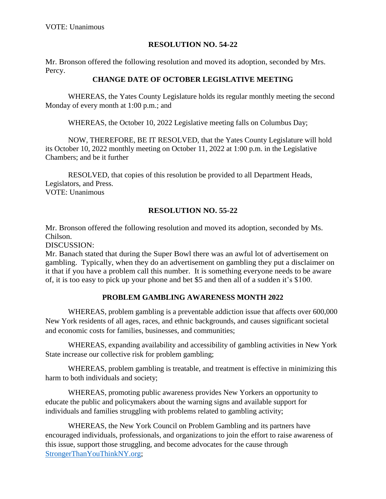# **RESOLUTION NO. 54-22**

Mr. Bronson offered the following resolution and moved its adoption, seconded by Mrs. Percy.

## **CHANGE DATE OF OCTOBER LEGISLATIVE MEETING**

WHEREAS, the Yates County Legislature holds its regular monthly meeting the second Monday of every month at 1:00 p.m.; and

WHEREAS, the October 10, 2022 Legislative meeting falls on Columbus Day;

NOW, THEREFORE, BE IT RESOLVED, that the Yates County Legislature will hold its October 10, 2022 monthly meeting on October 11, 2022 at 1:00 p.m. in the Legislative Chambers; and be it further

RESOLVED, that copies of this resolution be provided to all Department Heads, Legislators, and Press. VOTE: Unanimous

## **RESOLUTION NO. 55-22**

Mr. Bronson offered the following resolution and moved its adoption, seconded by Ms. Chilson.

DISCUSSION:

Mr. Banach stated that during the Super Bowl there was an awful lot of advertisement on gambling. Typically, when they do an advertisement on gambling they put a disclaimer on it that if you have a problem call this number. It is something everyone needs to be aware of, it is too easy to pick up your phone and bet \$5 and then all of a sudden it's \$100.

## **PROBLEM GAMBLING AWARENESS MONTH 2022**

WHEREAS, problem gambling is a preventable addiction issue that affects over 600,000 New York residents of all ages, races, and ethnic backgrounds, and causes significant societal and economic costs for families, businesses, and communities;

WHEREAS, expanding availability and accessibility of gambling activities in New York State increase our collective risk for problem gambling;

WHEREAS, problem gambling is treatable, and treatment is effective in minimizing this harm to both individuals and society;

WHEREAS, promoting public awareness provides New Yorkers an opportunity to educate the public and policymakers about the warning signs and available support for individuals and families struggling with problems related to gambling activity;

WHEREAS, the New York Council on Problem Gambling and its partners have encouraged individuals, professionals, and organizations to join the effort to raise awareness of this issue, support those struggling, and become advocates for the cause through [StrongerThanYouThinkNY.org;](https://strongerthanyouthinkny.org/)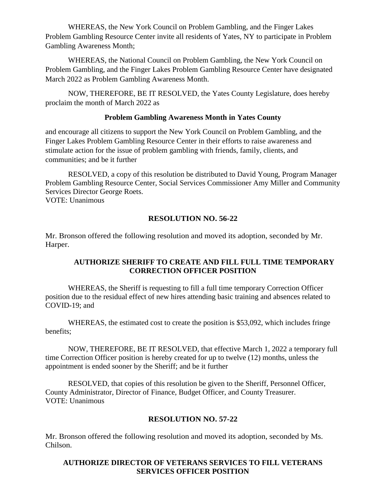WHEREAS, the New York Council on Problem Gambling, and the Finger Lakes Problem Gambling Resource Center invite all residents of Yates, NY to participate in Problem Gambling Awareness Month;

WHEREAS, the National Council on Problem Gambling, the New York Council on Problem Gambling, and the Finger Lakes Problem Gambling Resource Center have designated March 2022 as Problem Gambling Awareness Month.

NOW, THEREFORE, BE IT RESOLVED, the Yates County Legislature, does hereby proclaim the month of March 2022 as

## **Problem Gambling Awareness Month in Yates County**

and encourage all citizens to support the New York Council on Problem Gambling, and the Finger Lakes Problem Gambling Resource Center in their efforts to raise awareness and stimulate action for the issue of problem gambling with friends, family, clients, and communities; and be it further

RESOLVED, a copy of this resolution be distributed to David Young, Program Manager Problem Gambling Resource Center, Social Services Commissioner Amy Miller and Community Services Director George Roets. VOTE: Unanimous

## **RESOLUTION NO. 56-22**

Mr. Bronson offered the following resolution and moved its adoption, seconded by Mr. Harper.

## **AUTHORIZE SHERIFF TO CREATE AND FILL FULL TIME TEMPORARY CORRECTION OFFICER POSITION**

WHEREAS, the Sheriff is requesting to fill a full time temporary Correction Officer position due to the residual effect of new hires attending basic training and absences related to COVID-19; and

WHEREAS, the estimated cost to create the position is \$53,092, which includes fringe benefits;

NOW, THEREFORE, BE IT RESOLVED, that effective March 1, 2022 a temporary full time Correction Officer position is hereby created for up to twelve (12) months, unless the appointment is ended sooner by the Sheriff; and be it further

RESOLVED, that copies of this resolution be given to the Sheriff, Personnel Officer, County Administrator, Director of Finance, Budget Officer, and County Treasurer. VOTE: Unanimous

## **RESOLUTION NO. 57-22**

Mr. Bronson offered the following resolution and moved its adoption, seconded by Ms. Chilson.

# **AUTHORIZE DIRECTOR OF VETERANS SERVICES TO FILL VETERANS SERVICES OFFICER POSITION**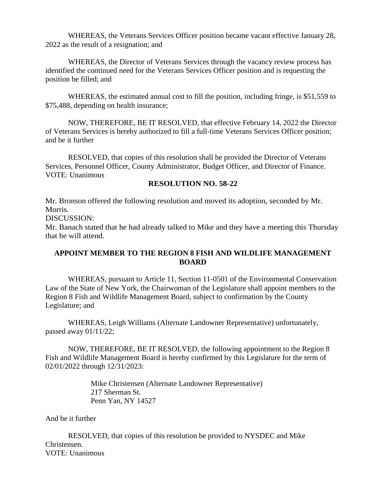WHEREAS, the Veterans Services Officer position became vacant effective January 28, 2022 as the result of a resignation; and

WHEREAS, the Director of Veterans Services through the vacancy review process has identified the continued need for the Veterans Services Officer position and is requesting the position be filled; and

WHEREAS, the estimated annual cost to fill the position, including fringe, is \$51,559 to \$75,488, depending on health insurance;

NOW, THEREFORE, BE IT RESOLVED, that effective February 14, 2022 the Director of Veterans Services is hereby authorized to fill a full-time Veterans Services Officer position; and be it further

RESOLVED, that copies of this resolution shall be provided the Director of Veterans Services, Personnel Officer, County Administrator, Budget Officer, and Director of Finance. VOTE: Unanimous

### **RESOLUTION NO. 58-22**

Mr. Bronson offered the following resolution and moved its adoption, seconded by Mr. Morris.

DISCUSSION:

Mr. Banach stated that he had already talked to Mike and they have a meeting this Thursday that he will attend.

## **APPOINT MEMBER TO THE REGION 8 FISH AND WILDLIFE MANAGEMENT BOARD**

WHEREAS, pursuant to Article 11, Section 11-0501 of the Environmental Conservation Law of the State of New York, the Chairwoman of the Legislature shall appoint members to the Region 8 Fish and Wildlife Management Board, subject to confirmation by the County Legislature; and

WHEREAS, Leigh Williams (Alternate Landowner Representative) unfortunately, passed away 01/11/22;

NOW, THEREFORE, BE IT RESOLVED, the following appointment to the Region 8 Fish and Wildlife Management Board is hereby confirmed by this Legislature for the term of 02/01/2022 through 12/31/2023:

> Mike Christensen (Alternate Landowner Representative) 217 Sherman St. Penn Yan, NY 14527

And be it further

RESOLVED, that copies of this resolution be provided to NYSDEC and Mike Christensen. VOTE: Unanimous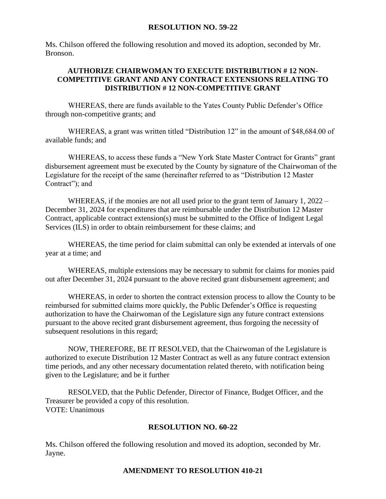### **RESOLUTION NO. 59-22**

Ms. Chilson offered the following resolution and moved its adoption, seconded by Mr. Bronson.

## **AUTHORIZE CHAIRWOMAN TO EXECUTE DISTRIBUTION # 12 NON-COMPETITIVE GRANT AND ANY CONTRACT EXTENSIONS RELATING TO DISTRIBUTION # 12 NON-COMPETITIVE GRANT**

WHEREAS, there are funds available to the Yates County Public Defender's Office through non-competitive grants; and

WHEREAS, a grant was written titled "Distribution 12" in the amount of \$48,684.00 of available funds; and

WHEREAS, to access these funds a "New York State Master Contract for Grants" grant disbursement agreement must be executed by the County by signature of the Chairwoman of the Legislature for the receipt of the same (hereinafter referred to as "Distribution 12 Master Contract"); and

WHEREAS, if the monies are not all used prior to the grant term of January 1, 2022 – December 31, 2024 for expenditures that are reimbursable under the Distribution 12 Master Contract, applicable contract extension(s) must be submitted to the Office of Indigent Legal Services (ILS) in order to obtain reimbursement for these claims; and

WHEREAS, the time period for claim submittal can only be extended at intervals of one year at a time; and

WHEREAS, multiple extensions may be necessary to submit for claims for monies paid out after December 31, 2024 pursuant to the above recited grant disbursement agreement; and

WHEREAS, in order to shorten the contract extension process to allow the County to be reimbursed for submitted claims more quickly, the Public Defender's Office is requesting authorization to have the Chairwoman of the Legislature sign any future contract extensions pursuant to the above recited grant disbursement agreement, thus forgoing the necessity of subsequent resolutions in this regard;

NOW, THEREFORE, BE IT RESOLVED, that the Chairwoman of the Legislature is authorized to execute Distribution 12 Master Contract as well as any future contract extension time periods, and any other necessary documentation related thereto, with notification being given to the Legislature; and be it further

RESOLVED, that the Public Defender, Director of Finance, Budget Officer, and the Treasurer be provided a copy of this resolution. VOTE: Unanimous

### **RESOLUTION NO. 60-22**

Ms. Chilson offered the following resolution and moved its adoption, seconded by Mr. Jayne.

### **AMENDMENT TO RESOLUTION 410-21**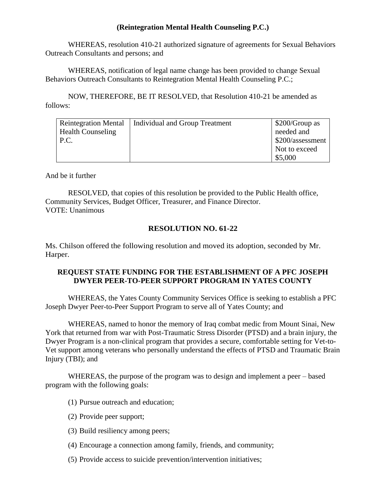## **(Reintegration Mental Health Counseling P.C.)**

WHEREAS, resolution 410-21 authorized signature of agreements for Sexual Behaviors Outreach Consultants and persons; and

WHEREAS, notification of legal name change has been provided to change Sexual Behaviors Outreach Consultants to Reintegration Mental Health Counseling P.C.;

NOW, THEREFORE, BE IT RESOLVED, that Resolution 410-21 be amended as follows:

| <b>Reintegration Mental</b> | Individual and Group Treatment | $$200/Group$ as  |
|-----------------------------|--------------------------------|------------------|
| <b>Health Counseling</b>    |                                | needed and       |
| P.C.                        |                                | \$200/assessment |
|                             |                                | Not to exceed    |
|                             |                                | \$5,000          |

And be it further

RESOLVED, that copies of this resolution be provided to the Public Health office, Community Services, Budget Officer, Treasurer, and Finance Director. VOTE: Unanimous

## **RESOLUTION NO. 61-22**

Ms. Chilson offered the following resolution and moved its adoption, seconded by Mr. Harper.

## **REQUEST STATE FUNDING FOR THE ESTABLISHMENT OF A PFC JOSEPH DWYER PEER-TO-PEER SUPPORT PROGRAM IN YATES COUNTY**

WHEREAS, the Yates County Community Services Office is seeking to establish a PFC Joseph Dwyer Peer-to-Peer Support Program to serve all of Yates County; and

WHEREAS, named to honor the memory of Iraq combat medic from Mount Sinai, New York that returned from war with Post-Traumatic Stress Disorder (PTSD) and a brain injury, the Dwyer Program is a non-clinical program that provides a secure, comfortable setting for Vet-to-Vet support among veterans who personally understand the effects of PTSD and Traumatic Brain Injury (TBI); and

WHEREAS, the purpose of the program was to design and implement a peer – based program with the following goals:

- (1) Pursue outreach and education;
- (2) Provide peer support;
- (3) Build resiliency among peers;
- (4) Encourage a connection among family, friends, and community;
- (5) Provide access to suicide prevention/intervention initiatives;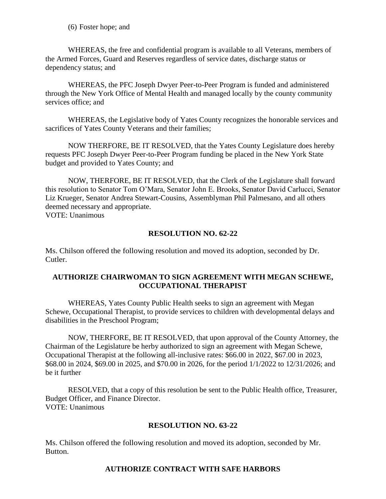(6) Foster hope; and

WHEREAS, the free and confidential program is available to all Veterans, members of the Armed Forces, Guard and Reserves regardless of service dates, discharge status or dependency status; and

WHEREAS, the PFC Joseph Dwyer Peer-to-Peer Program is funded and administered through the New York Office of Mental Health and managed locally by the county community services office; and

WHEREAS, the Legislative body of Yates County recognizes the honorable services and sacrifices of Yates County Veterans and their families;

NOW THERFORE, BE IT RESOLVED, that the Yates County Legislature does hereby requests PFC Joseph Dwyer Peer-to-Peer Program funding be placed in the New York State budget and provided to Yates County; and

NOW, THERFORE, BE IT RESOLVED, that the Clerk of the Legislature shall forward this resolution to Senator Tom O'Mara, Senator John E. Brooks, Senator David Carlucci, Senator Liz Krueger, Senator Andrea Stewart-Cousins, Assemblyman Phil Palmesano, and all others deemed necessary and appropriate. VOTE: Unanimous

## **RESOLUTION NO. 62-22**

Ms. Chilson offered the following resolution and moved its adoption, seconded by Dr. Cutler.

## **AUTHORIZE CHAIRWOMAN TO SIGN AGREEMENT WITH MEGAN SCHEWE, OCCUPATIONAL THERAPIST**

WHEREAS, Yates County Public Health seeks to sign an agreement with Megan Schewe, Occupational Therapist, to provide services to children with developmental delays and disabilities in the Preschool Program;

NOW, THERFORE, BE IT RESOLVED, that upon approval of the County Attorney, the Chairman of the Legislature be herby authorized to sign an agreement with Megan Schewe, Occupational Therapist at the following all-inclusive rates: \$66.00 in 2022, \$67.00 in 2023, \$68.00 in 2024, \$69.00 in 2025, and \$70.00 in 2026, for the period 1/1/2022 to 12/31/2026; and be it further

RESOLVED, that a copy of this resolution be sent to the Public Health office, Treasurer, Budget Officer, and Finance Director. VOTE: Unanimous

### **RESOLUTION NO. 63-22**

Ms. Chilson offered the following resolution and moved its adoption, seconded by Mr. Button.

## **AUTHORIZE CONTRACT WITH SAFE HARBORS**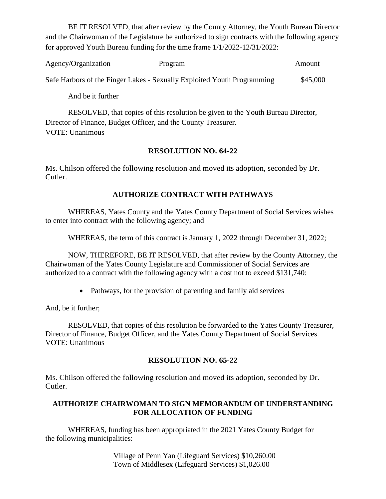BE IT RESOLVED, that after review by the County Attorney, the Youth Bureau Director and the Chairwoman of the Legislature be authorized to sign contracts with the following agency for approved Youth Bureau funding for the time frame 1/1/2022-12/31/2022:

| Agency/Organization | Program                                                                 | Amount   |
|---------------------|-------------------------------------------------------------------------|----------|
|                     |                                                                         |          |
|                     | Safe Harbors of the Finger Lakes - Sexually Exploited Youth Programming | \$45,000 |

And be it further

RESOLVED, that copies of this resolution be given to the Youth Bureau Director, Director of Finance, Budget Officer, and the County Treasurer. VOTE: Unanimous

## **RESOLUTION NO. 64-22**

Ms. Chilson offered the following resolution and moved its adoption, seconded by Dr. Cutler.

# **AUTHORIZE CONTRACT WITH PATHWAYS**

WHEREAS, Yates County and the Yates County Department of Social Services wishes to enter into contract with the following agency; and

WHEREAS, the term of this contract is January 1, 2022 through December 31, 2022;

NOW, THEREFORE, BE IT RESOLVED, that after review by the County Attorney, the Chairwoman of the Yates County Legislature and Commissioner of Social Services are authorized to a contract with the following agency with a cost not to exceed \$131,740:

• Pathways, for the provision of parenting and family aid services

And, be it further;

RESOLVED, that copies of this resolution be forwarded to the Yates County Treasurer, Director of Finance, Budget Officer, and the Yates County Department of Social Services. VOTE: Unanimous

## **RESOLUTION NO. 65-22**

Ms. Chilson offered the following resolution and moved its adoption, seconded by Dr. Cutler.

## **AUTHORIZE CHAIRWOMAN TO SIGN MEMORANDUM OF UNDERSTANDING FOR ALLOCATION OF FUNDING**

WHEREAS, funding has been appropriated in the 2021 Yates County Budget for the following municipalities:

> Village of Penn Yan (Lifeguard Services) \$10,260.00 Town of Middlesex (Lifeguard Services) \$1,026.00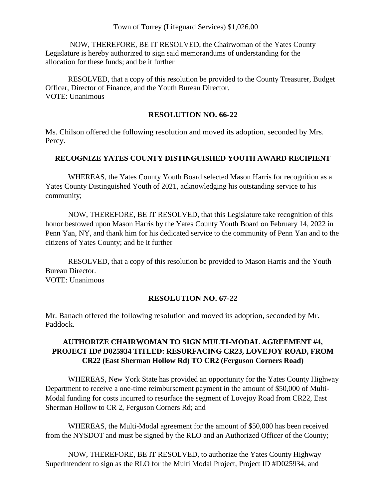## Town of Torrey (Lifeguard Services) \$1,026.00

NOW, THEREFORE, BE IT RESOLVED, the Chairwoman of the Yates County Legislature is hereby authorized to sign said memorandums of understanding for the allocation for these funds; and be it further

RESOLVED, that a copy of this resolution be provided to the County Treasurer, Budget Officer, Director of Finance, and the Youth Bureau Director. VOTE: Unanimous

### **RESOLUTION NO. 66-22**

Ms. Chilson offered the following resolution and moved its adoption, seconded by Mrs. Percy.

### **RECOGNIZE YATES COUNTY DISTINGUISHED YOUTH AWARD RECIPIENT**

WHEREAS, the Yates County Youth Board selected Mason Harris for recognition as a Yates County Distinguished Youth of 2021, acknowledging his outstanding service to his community;

NOW, THEREFORE, BE IT RESOLVED, that this Legislature take recognition of this honor bestowed upon Mason Harris by the Yates County Youth Board on February 14, 2022 in Penn Yan, NY, and thank him for his dedicated service to the community of Penn Yan and to the citizens of Yates County; and be it further

RESOLVED, that a copy of this resolution be provided to Mason Harris and the Youth Bureau Director. VOTE: Unanimous

### **RESOLUTION NO. 67-22**

Mr. Banach offered the following resolution and moved its adoption, seconded by Mr. Paddock.

# **AUTHORIZE CHAIRWOMAN TO SIGN MULTI-MODAL AGREEMENT #4, PROJECT ID# D025934 TITLED: RESURFACING CR23, LOVEJOY ROAD, FROM CR22 (East Sherman Hollow Rd) TO CR2 (Ferguson Corners Road)**

WHEREAS, New York State has provided an opportunity for the Yates County Highway Department to receive a one-time reimbursement payment in the amount of \$50,000 of Multi-Modal funding for costs incurred to resurface the segment of Lovejoy Road from CR22, East Sherman Hollow to CR 2, Ferguson Corners Rd; and

WHEREAS, the Multi-Modal agreement for the amount of \$50,000 has been received from the NYSDOT and must be signed by the RLO and an Authorized Officer of the County;

NOW, THEREFORE, BE IT RESOLVED, to authorize the Yates County Highway Superintendent to sign as the RLO for the Multi Modal Project, Project ID #D025934, and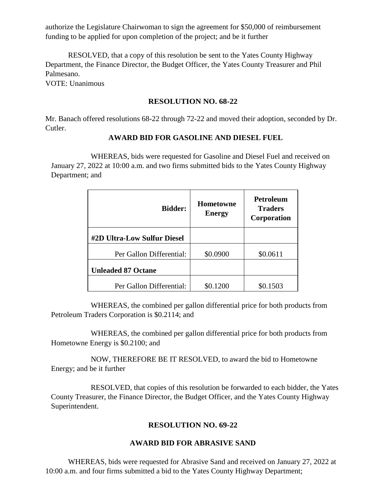authorize the Legislature Chairwoman to sign the agreement for \$50,000 of reimbursement funding to be applied for upon completion of the project; and be it further

RESOLVED, that a copy of this resolution be sent to the Yates County Highway Department, the Finance Director, the Budget Officer, the Yates County Treasurer and Phil Palmesano.

VOTE: Unanimous

#### **RESOLUTION NO. 68-22**

Mr. Banach offered resolutions 68-22 through 72-22 and moved their adoption, seconded by Dr. Cutler.

### **AWARD BID FOR GASOLINE AND DIESEL FUEL**

WHEREAS, bids were requested for Gasoline and Diesel Fuel and received on January 27, 2022 at 10:00 a.m. and two firms submitted bids to the Yates County Highway Department; and

| <b>Bidder:</b>              | Hometowne<br><b>Energy</b> | <b>Petroleum</b><br><b>Traders</b><br>Corporation |
|-----------------------------|----------------------------|---------------------------------------------------|
| #2D Ultra-Low Sulfur Diesel |                            |                                                   |
| Per Gallon Differential:    | \$0.0900                   | \$0.0611                                          |
| <b>Unleaded 87 Octane</b>   |                            |                                                   |
| Per Gallon Differential:    | \$0.1200                   | \$0.1503                                          |

WHEREAS, the combined per gallon differential price for both products from Petroleum Traders Corporation is \$0.2114; and

WHEREAS, the combined per gallon differential price for both products from Hometowne Energy is \$0.2100; and

NOW, THEREFORE BE IT RESOLVED, to award the bid to Hometowne Energy; and be it further

 RESOLVED, that copies of this resolution be forwarded to each bidder, the Yates County Treasurer, the Finance Director, the Budget Officer, and the Yates County Highway Superintendent.

## **RESOLUTION NO. 69-22**

### **AWARD BID FOR ABRASIVE SAND**

WHEREAS, bids were requested for Abrasive Sand and received on January 27, 2022 at 10:00 a.m. and four firms submitted a bid to the Yates County Highway Department;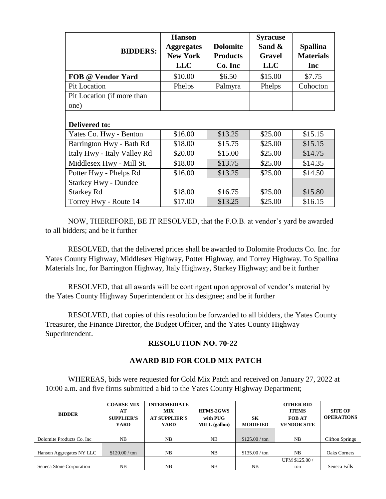| <b>BIDDERS:</b>             | <b>Hanson</b><br><b>Aggregates</b><br><b>New York</b><br><b>LLC</b> | <b>Dolomite</b><br><b>Products</b><br>Co. Inc | <b>Syracuse</b><br>Sand &<br><b>Gravel</b><br><b>LLC</b> | <b>Spallina</b><br><b>Materials</b><br>Inc |
|-----------------------------|---------------------------------------------------------------------|-----------------------------------------------|----------------------------------------------------------|--------------------------------------------|
| FOB @ Vendor Yard           | \$10.00                                                             | \$6.50                                        | \$15.00                                                  | \$7.75                                     |
| Pit Location                | Phelps                                                              | Palmyra                                       | Phelps                                                   | Cohocton                                   |
| Pit Location (if more than  |                                                                     |                                               |                                                          |                                            |
| one)                        |                                                                     |                                               |                                                          |                                            |
| <b>Delivered to:</b>        |                                                                     |                                               |                                                          |                                            |
| Yates Co. Hwy - Benton      | \$16.00                                                             | \$13.25                                       | \$25.00                                                  | \$15.15                                    |
| Barrington Hwy - Bath Rd    | \$18.00                                                             | \$15.75                                       | \$25.00                                                  | \$15.15                                    |
| Italy Hwy - Italy Valley Rd | \$20.00                                                             | \$15.00                                       | \$25.00                                                  | \$14.75                                    |
| Middlesex Hwy - Mill St.    | \$18.00                                                             | \$13.75                                       | \$25.00                                                  | \$14.35                                    |
| Potter Hwy - Phelps Rd      | \$16.00                                                             | \$13.25                                       | \$25.00                                                  | \$14.50                                    |
| <b>Starkey Hwy - Dundee</b> |                                                                     |                                               |                                                          |                                            |
| <b>Starkey Rd</b>           | \$18.00                                                             | \$16.75                                       | \$25.00                                                  | \$15.80                                    |
| Torrey Hwy - Route 14       | \$17.00                                                             | \$13.25                                       | \$25.00                                                  | \$16.15                                    |

NOW, THEREFORE, BE IT RESOLVED, that the F.O.B. at vendor's yard be awarded to all bidders; and be it further

RESOLVED, that the delivered prices shall be awarded to Dolomite Products Co. Inc. for Yates County Highway, Middlesex Highway, Potter Highway, and Torrey Highway. To Spallina Materials Inc, for Barrington Highway, Italy Highway, Starkey Highway; and be it further

RESOLVED, that all awards will be contingent upon approval of vendor's material by the Yates County Highway Superintendent or his designee; and be it further

RESOLVED, that copies of this resolution be forwarded to all bidders, the Yates County Treasurer, the Finance Director, the Budget Officer, and the Yates County Highway Superintendent.

## **RESOLUTION NO. 70-22**

### **AWARD BID FOR COLD MIX PATCH**

WHEREAS, bids were requested for Cold Mix Patch and received on January 27, 2022 at 10:00 a.m. and five firms submitted a bid to the Yates County Highway Department;

| <b>BIDDER</b>              | <b>COARSE MIX</b><br>AT<br><b>SUPPLIER'S</b><br>YARD | <b>INTERMEDIATE</b><br><b>MIX</b><br><b>AT SUPPLIER'S</b><br>YARD | <b>HFMS-2GWS</b><br>with PUG<br><b>MILL</b> (gallon) | SК<br><b>MODIFIED</b> | <b>OTHER BID</b><br><b>ITEMS</b><br><b>FOB AT</b><br><b>VENDOR SITE</b> | <b>SITE OF</b><br><b>OPERATIONS</b> |
|----------------------------|------------------------------------------------------|-------------------------------------------------------------------|------------------------------------------------------|-----------------------|-------------------------------------------------------------------------|-------------------------------------|
|                            |                                                      |                                                                   |                                                      |                       |                                                                         |                                     |
| Dolomite Products Co. Inc. | NB                                                   | NB                                                                | NB                                                   | \$125.00 / ton        | NB                                                                      | <b>Clifton Springs</b>              |
|                            |                                                      |                                                                   |                                                      |                       |                                                                         |                                     |
| Hanson Aggregates NY LLC   | $$120.00 / \text{ton}$                               | NB                                                                | NB                                                   | \$135.00 / ton        | N <sub>B</sub>                                                          | <b>Oaks Corners</b>                 |
|                            |                                                      |                                                                   |                                                      |                       | UPM \$125.00 /                                                          |                                     |
| Seneca Stone Corporation   | NB                                                   | NB                                                                | NB                                                   | NB                    | ton                                                                     | Seneca Falls                        |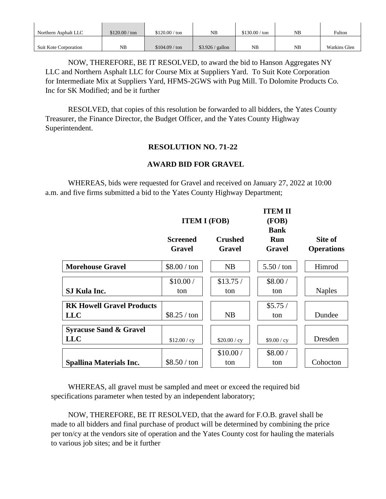| Northern Asphalt LLC         | \$120.00 / ton | $$120.00 / \text{ton}$ | NΒ                | \$130.00 / ton | NB | Fulton              |
|------------------------------|----------------|------------------------|-------------------|----------------|----|---------------------|
| <b>Suit Kote Corporation</b> | NB             | \$104.09 / ton         | $$3.926 /$ gallon | NΒ             | NB | <b>Watkins Glen</b> |

NOW, THEREFORE, BE IT RESOLVED, to award the bid to Hanson Aggregates NY LLC and Northern Asphalt LLC for Course Mix at Suppliers Yard. To Suit Kote Corporation for Intermediate Mix at Suppliers Yard, HFMS-2GWS with Pug Mill. To Dolomite Products Co. Inc for SK Modified; and be it further

 RESOLVED, that copies of this resolution be forwarded to all bidders, the Yates County Treasurer, the Finance Director, the Budget Officer, and the Yates County Highway Superintendent.

## **RESOLUTION NO. 71-22**

## **AWARD BID FOR GRAVEL**

WHEREAS, bids were requested for Gravel and received on January 27, 2022 at 10:00 a.m. and five firms submitted a bid to the Yates County Highway Department;

|                                                 |                                  | <b>ITEM I (FOB)</b>      | <b>ITEM II</b><br>(FOB)             |                              |
|-------------------------------------------------|----------------------------------|--------------------------|-------------------------------------|------------------------------|
|                                                 | <b>Screened</b><br><b>Gravel</b> | <b>Crushed</b><br>Gravel | <b>Bank</b><br>Run<br><b>Gravel</b> | Site of<br><b>Operations</b> |
| <b>Morehouse Gravel</b>                         | $$8.00 / \text{ton}$             | NB                       | $5.50 / \text{ton}$                 | Himrod                       |
| SJ Kula Inc.                                    | \$10.00/<br>ton                  | \$13.75/<br>ton          | \$8.00/<br>ton                      | <b>Naples</b>                |
| <b>RK Howell Gravel Products</b><br><b>LLC</b>  | $$8.25 / \text{ton}$             | NB                       | \$5.75/<br>ton                      | Dundee                       |
| <b>Syracuse Sand &amp; Gravel</b><br><b>LLC</b> | \$12.00 / cy                     | \$20.00 / cy             | \$9.00 / cy                         | Dresden                      |
| <b>Spallina Materials Inc.</b>                  | $$8.50 / \text{ton}$             | \$10.00/<br>ton          | \$8.00/<br>ton                      | Cohocton                     |

WHEREAS, all gravel must be sampled and meet or exceed the required bid specifications parameter when tested by an independent laboratory;

NOW, THEREFORE, BE IT RESOLVED, that the award for F.O.B. gravel shall be made to all bidders and final purchase of product will be determined by combining the price per ton/cy at the vendors site of operation and the Yates County cost for hauling the materials to various job sites; and be it further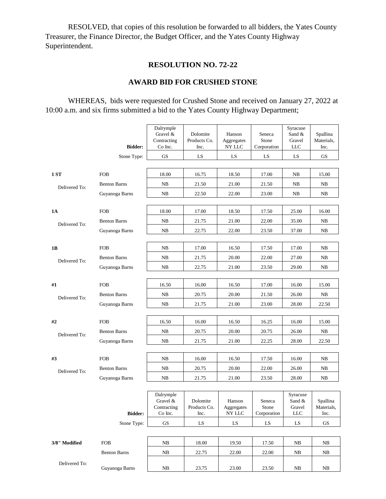RESOLVED, that copies of this resolution be forwarded to all bidders, the Yates County Treasurer, the Finance Director, the Budget Officer, and the Yates County Highway Superintendent.

# **RESOLUTION NO. 72-22**

# **AWARD BID FOR CRUSHED STONE**

WHEREAS, bids were requested for Crushed Stone and received on January 27, 2022 at 10:00 a.m. and six firms submitted a bid to the Yates County Highway Department;

|               |                     | Dalrymple<br>Gravel &<br>Contracting            | Dolomite<br>Products Co.         | Hanson<br>Aggregates           | Seneca<br>Stone                | Syracuse<br>Sand &<br>Gravel               | Spallina<br>Materials,         |
|---------------|---------------------|-------------------------------------------------|----------------------------------|--------------------------------|--------------------------------|--------------------------------------------|--------------------------------|
|               | <b>Bidder:</b>      | Co Inc.                                         | Inc.                             | NY LLC                         | Corporation                    | <b>LLC</b>                                 | Inc.                           |
|               | Stone Type:         | <b>GS</b>                                       | LS                               | LS                             | LS                             | LS.                                        | <b>GS</b>                      |
| <b>1 ST</b>   | <b>FOB</b>          | 18.00                                           | 16.75                            | 18.50                          | 17.00                          | NB                                         | 15.00                          |
| Delivered To: | <b>Benton Barns</b> | NB                                              | 21.50                            | 21.00                          | 21.50                          | NB                                         | NB                             |
|               | Guyanoga Barns      | NB                                              | 22.50                            | 22.00                          | 23.00                          | NB                                         | NB                             |
|               |                     |                                                 |                                  |                                |                                |                                            |                                |
| <b>1A</b>     | <b>FOB</b>          | 18.00                                           | 17.00                            | 18.50                          | 17.50                          | 25.00                                      | 16.00                          |
| Delivered To: | <b>Benton Barns</b> | NB                                              | 21.75                            | 21.00                          | 22.00                          | 35.00                                      | NB                             |
|               | Guyanoga Barns      | NB                                              | 22.75                            | 22.00                          | 23.50                          | 37.00                                      | NB                             |
|               |                     |                                                 |                                  |                                |                                |                                            |                                |
| 1B            | <b>FOB</b>          | NB                                              | 17.00                            | 16.50                          | 17.50                          | 17.00                                      | NB                             |
| Delivered To: | <b>Benton Barns</b> | NB                                              | 21.75                            | 20.00                          | 22.00                          | 27.00                                      | NB                             |
|               | Guyanoga Barns      | NB                                              | 22.75                            | 21.00                          | 23.50                          | 29.00                                      | NB                             |
|               |                     |                                                 |                                  |                                |                                |                                            |                                |
| #1            | <b>FOB</b>          | 16.50                                           | 16.00                            | 16.50                          | 17.00                          | 16.00                                      | 15.00                          |
| Delivered To: | <b>Benton Barns</b> | NB                                              | 20.75                            | 20.00                          | 21.50                          | 26.00                                      | NB                             |
|               | Guyanoga Barns      | NB                                              | 21.75                            | 21.00                          | 23.00                          | 28.00                                      | 22.50                          |
|               |                     |                                                 |                                  |                                |                                |                                            |                                |
| #2            | <b>FOB</b>          | 16.50                                           | 16.00                            | 16.50                          | 16.25                          | 16.00                                      | 15.00                          |
| Delivered To: | <b>Benton Barns</b> | NB                                              | 20.75                            | 20.00                          | 20.75                          | 26.00                                      | NB                             |
|               | Guyanoga Barns      | NB                                              | 21.75                            | 21.00                          | 22.25                          | 28.00                                      | 22.50                          |
|               |                     |                                                 |                                  |                                |                                |                                            |                                |
| #3            | <b>FOB</b>          | NB                                              | 16.00                            | 16.50                          | 17.50                          | 16.00                                      | NB                             |
| Delivered To: | <b>Benton Barns</b> | NB                                              | 20.75                            | 20.00                          | 22.00                          | 26.00                                      | NB                             |
|               | Guyanoga Barns      | NB                                              | 21.75                            | 21.00                          | 23.50                          | 28.00                                      | NB                             |
|               | <b>Bidder:</b>      | Dalrymple<br>Gravel &<br>Contracting<br>Co Inc. | Dolomite<br>Products Co.<br>Inc. | Hanson<br>Aggregates<br>NY LLC | Seneca<br>Stone<br>Corporation | Syracuse<br>Sand &<br>Gravel<br><b>LLC</b> | Spallina<br>Materials,<br>Inc. |
|               | Stone Type:         | $\mathbf{G}\mathbf{S}$                          | LS                               | ${\rm LS}$                     | LS                             | ${\rm LS}$                                 | GS                             |
|               |                     |                                                 |                                  |                                |                                |                                            |                                |
| 3/8" Modified | <b>FOB</b>          | NB                                              | 18.00                            | 19.50                          | 17.50                          | NB                                         | $_{\rm NB}$                    |
|               | <b>Benton Barns</b> | NB                                              | 22.75                            | 22.00                          | 22.00                          | NB                                         | NB                             |
| Delivered To: | Guyanoga Barns      | ${\rm NB}$                                      | 23.75                            | 23.00                          | 23.50                          | ${\rm NB}$                                 | NB                             |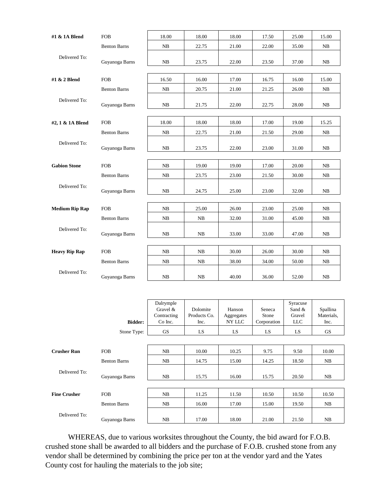| #1 & 1A Blend         | <b>FOB</b>          | 18.00                  | 18.00 | 18.00 | 17.50 | 25.00 | 15.00 |
|-----------------------|---------------------|------------------------|-------|-------|-------|-------|-------|
|                       | <b>Benton Barns</b> | NB                     | 22.75 | 21.00 | 22.00 | 35.00 | NB    |
| Delivered To:         | Guyanoga Barns      | NB                     | 23.75 | 22.00 | 23.50 | 37.00 | NB    |
| #1 & 2 Blend          | <b>FOB</b>          | 16.50                  | 16.00 | 17.00 | 16.75 | 16.00 | 15.00 |
|                       | <b>Benton Barns</b> | NB                     | 20.75 | 21.00 | 21.25 | 26.00 | NB    |
| Delivered To:         | Guyanoga Barns      | NB                     | 21.75 | 22.00 | 22.75 | 28.00 | NB    |
| #2, 1 & 1A Blend      | <b>FOB</b>          | 18.00                  | 18.00 | 18.00 | 17.00 | 19.00 | 15.25 |
|                       | <b>Benton Barns</b> | NB                     | 22.75 | 21.00 | 21.50 | 29.00 | NB    |
| Delivered To:         | Guyanoga Barns      | NB                     | 23.75 | 22.00 | 23.00 | 31.00 | NB    |
| <b>Gabion Stone</b>   | <b>FOB</b>          | NB                     | 19.00 | 19.00 | 17.00 | 20.00 | NB    |
|                       | <b>Benton Barns</b> | NB                     | 23.75 | 23.00 | 21.50 | 30.00 | NB    |
| Delivered To:         | Guyanoga Barns      | NB                     | 24.75 | 25.00 | 23.00 | 32.00 | NB    |
| <b>Medium Rip Rap</b> | <b>FOB</b>          | NB                     | 25.00 | 26.00 | 23.00 | 25.00 | NB    |
|                       | <b>Benton Barns</b> | NB                     | NB    | 32.00 | 31.00 | 45.00 | NB    |
| Delivered To:         | Guyanoga Barns      | $\mathbf{N}\mathbf{B}$ | NB    | 33.00 | 33.00 | 47.00 | NB    |
|                       |                     |                        |       |       |       |       |       |
| <b>Heavy Rip Rap</b>  | <b>FOB</b>          | NB                     | NB    | 30.00 | 26.00 | 30.00 | NB    |
|                       | <b>Benton Barns</b> | NB                     | NB    | 38.00 | 34.00 | 50.00 | NB    |
| Delivered To:         | Guyanoga Barns      | NB                     | NB    | 40.00 | 36.00 | 52.00 | NB    |

|                     |                     | Dalrymple<br>Gravel &<br>Contracting | Dolomite<br>Products Co. | Hanson<br>Aggregates | Seneca<br>Stone | Syracuse<br>Sand $&$<br>Gravel | Spallina<br>Materials, |
|---------------------|---------------------|--------------------------------------|--------------------------|----------------------|-----------------|--------------------------------|------------------------|
|                     | <b>Bidder:</b>      | Co Inc.                              | Inc.                     | NY LLC               | Corporation     | <b>LLC</b>                     | Inc.                   |
|                     | Stone Type:         | <b>GS</b>                            | LS                       | LS.                  | LS              | LS                             | <b>GS</b>              |
|                     |                     |                                      |                          |                      |                 |                                |                        |
| <b>Crusher Run</b>  | <b>FOB</b>          | NB                                   | 10.00                    | 10.25                | 9.75            | 9.50                           | 10.00                  |
|                     | <b>Benton Barns</b> | NB                                   | 14.75                    | 15.00                | 14.25           | 18.50                          | NB                     |
| Delivered To:       | Guyanoga Barns      | NB                                   | 15.75                    | 16.00                | 15.75           | 20.50                          | NB                     |
|                     |                     |                                      |                          |                      |                 |                                |                        |
| <b>Fine Crusher</b> | <b>FOB</b>          | NB                                   | 11.25                    | 11.50                | 10.50           | 10.50                          | 10.50                  |
|                     | <b>Benton Barns</b> | NB                                   | 16.00                    | 17.00                | 15.00           | 19.50                          | NB                     |
| Delivered To:       | Guyanoga Barns      | NB                                   | 17.00                    | 18.00                | 21.00           | 21.50                          | NB                     |

WHEREAS, due to various worksites throughout the County, the bid award for F.O.B. crushed stone shall be awarded to all bidders and the purchase of F.O.B. crushed stone from any vendor shall be determined by combining the price per ton at the vendor yard and the Yates County cost for hauling the materials to the job site;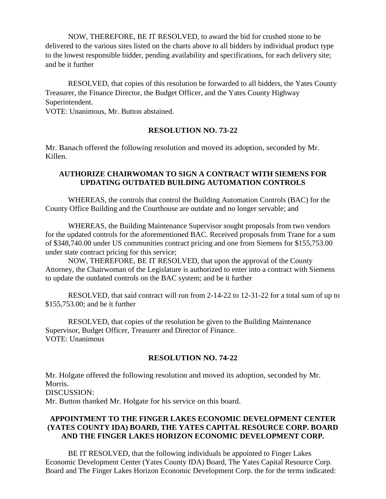NOW, THEREFORE, BE IT RESOLVED, to award the bid for crushed stone to be delivered to the various sites listed on the charts above to all bidders by individual product type to the lowest responsible bidder, pending availability and specifications, for each delivery site; and be it further

RESOLVED, that copies of this resolution be forwarded to all bidders, the Yates County Treasurer, the Finance Director, the Budget Officer, and the Yates County Highway Superintendent.

VOTE: Unanimous, Mr. Button abstained.

#### **RESOLUTION NO. 73-22**

Mr. Banach offered the following resolution and moved its adoption, seconded by Mr. Killen.

## **AUTHORIZE CHAIRWOMAN TO SIGN A CONTRACT WITH SIEMENS FOR UPDATING OUTDATED BUILDING AUTOMATION CONTROLS**

WHEREAS, the controls that control the Building Automation Controls (BAC) for the County Office Building and the Courthouse are outdate and no longer servable; and

WHEREAS, the Building Maintenance Supervisor sought proposals from two vendors for the updated controls for the aforementioned BAC. Received proposals from Trane for a sum of \$348,740.00 under US communities contract pricing and one from Siemens for \$155,753.00 under state contract pricing for this service;

NOW, THEREFORE, BE IT RESOLVED, that upon the approval of the County Attorney, the Chairwoman of the Legislature is authorized to enter into a contract with Siemens to update the outdated controls on the BAC system; and be it further

RESOLVED, that said contract will run from 2-14-22 to 12-31-22 for a total sum of up to \$155,753.00; and be it further

RESOLVED, that copies of the resolution be given to the Building Maintenance Supervisor, Budget Officer, Treasurer and Director of Finance. VOTE: Unanimous

#### **RESOLUTION NO. 74-22**

Mr. Holgate offered the following resolution and moved its adoption, seconded by Mr. Morris. DISCUSSION: Mr. Button thanked Mr. Holgate for his service on this board.

## **APPOINTMENT TO THE FINGER LAKES ECONOMIC DEVELOPMENT CENTER (YATES COUNTY IDA) BOARD, THE YATES CAPITAL RESOURCE CORP. BOARD AND THE FINGER LAKES HORIZON ECONOMIC DEVELOPMENT CORP.**

BE IT RESOLVED, that the following individuals be appointed to Finger Lakes Economic Development Center (Yates County IDA) Board, The Yates Capital Resource Corp. Board and The Finger Lakes Horizon Economic Development Corp. the for the terms indicated: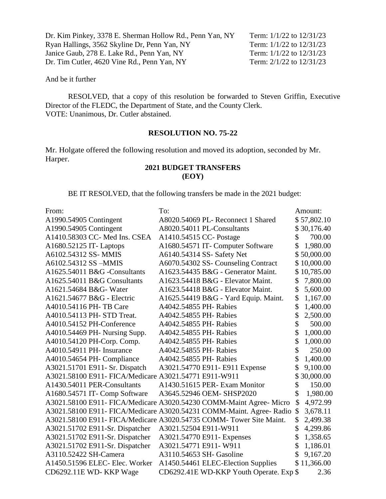| Term: $1/1/22$ to $12/31/23$ |
|------------------------------|
| Term: 1/1/22 to 12/31/23     |
| Term: $1/1/22$ to $12/31/23$ |
| Term: 2/1/22 to 12/31/23     |
|                              |

RESOLVED, that a copy of this resolution be forwarded to Steven Griffin, Executive Director of the FLEDC, the Department of State, and the County Clerk. VOTE: Unanimous, Dr. Cutler abstained.

## **RESOLUTION NO. 75-22**

Mr. Holgate offered the following resolution and moved its adoption, seconded by Mr. Harper.

# **2021 BUDGET TRANSFERS (EOY)**

BE IT RESOLVED, that the following transfers be made in the 2021 budget:

| From:                                                 | To:                                                                  | Amount:         |
|-------------------------------------------------------|----------------------------------------------------------------------|-----------------|
| A1990.54905 Contingent                                | A8020.54069 PL-Reconnect 1 Shared                                    | \$57,802.10     |
| A1990.54905 Contingent                                | A8020.54011 PL-Consultants                                           | \$30,176.40     |
| A1410.58303 CC- Med Ins. CSEA                         | A1410.54515 CC- Postage                                              | \$<br>700.00    |
| A1680.52125 IT- Laptops                               | A1680.54571 IT- Computer Software                                    | 1,980.00        |
| A6102.54312 SS- MMIS                                  | A6140.54314 SS- Safety Net                                           | \$50,000.00     |
| A6102.54312 SS -MMIS                                  | A6070.54302 SS- Counseling Contract                                  | \$10,000.00     |
| A1625.54011 B&G -Consultants                          | A1623.54435 B&G - Generator Maint.                                   | \$<br>10,785.00 |
| A1625.54011 B&G Consultants                           | A1623.54418 B&G - Elevator Maint.                                    | \$<br>7,800.00  |
| A1621.54684 B&G- Water                                | A1623.54418 B&G - Elevator Maint.                                    | \$<br>5,600.00  |
| A1621.54677 B&G - Electric                            | A1625.54419 B&G - Yard Equip. Maint.                                 | \$<br>1,167.00  |
| A4010.54116 PH-TB Care                                | A4042.54855 PH- Rabies                                               | \$<br>1,400.00  |
| A4010.54113 PH- STD Treat.                            | A4042.54855 PH- Rabies                                               | \$<br>2,500.00  |
| A4010.54152 PH-Conference                             | A4042.54855 PH- Rabies                                               | \$<br>500.00    |
| A4010.54469 PH- Nursing Supp.                         | A4042.54855 PH-Rabies                                                | \$<br>1,000.00  |
| A4010.54120 PH-Corp. Comp.                            | A4042.54855 PH-Rabies                                                | \$<br>1,000.00  |
| A4010.54911 PH- Insurance                             | A4042.54855 PH- Rabies                                               | \$<br>250.00    |
| A4010.54654 PH- Compliance                            | A4042.54855 PH-Rabies                                                | 1,400.00        |
| A3021.51701 E911- Sr. Dispatch                        | A3021.54770 E911- E911 Expense                                       | \$<br>9,100.00  |
| A3021.58100 E911- FICA/Medicare A3021.54771 E911-W911 |                                                                      | 30,000.00       |
| A1430.54011 PER-Consultants                           | A1430.51615 PER- Exam Monitor                                        | \$<br>150.00    |
| A1680.54571 IT- Comp Software                         | A3645.52946 OEM- SHSP2020                                            | \$<br>1,980.00  |
|                                                       | A3021.58100 E911- FICA/Medicare A3020.54230 COMM-Maint Agree- Micro  | \$<br>4,972.99  |
|                                                       | A3021.58100 E911- FICA/Medicare A3020.54231 COMM-Maint. Agree- Radio | \$<br>3,678.11  |
|                                                       | A3021.58100 E911- FICA/Medicare A3020.54735 COMM- Tower Site Maint.  | \$<br>2,499.38  |
| A3021.51702 E911-Sr. Dispatcher                       | A3021.52504 E911-W911                                                | \$<br>4,299.86  |
| A3021.51702 E911-Sr. Dispatcher                       | A3021.54770 E911- Expenses                                           | \$<br>1,358.65  |
| A3021.51702 E911-Sr. Dispatcher                       | A3021.54771 E911-W911                                                | \$<br>1,186.01  |
| A3110.52422 SH-Camera                                 | A3110.54653 SH- Gasoline                                             | 9,167.20        |
| A1450.51596 ELEC- Elec. Worker                        | A1450.54461 ELEC-Election Supplies                                   | \$11,366.00     |
| CD6292.11E WD- KKP Wage                               | CD6292.41E WD-KKP Youth Operate. Exp \$                              | 2.36            |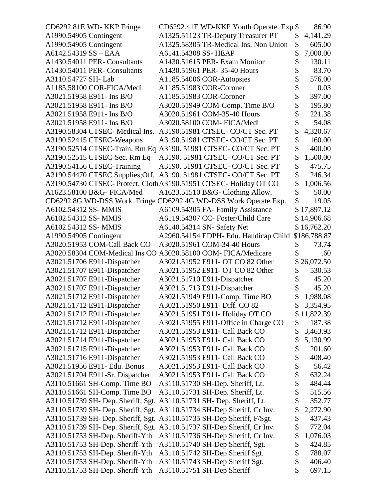| CD6292.81E WD- KKP Fringe                                          | CD6292.41E WD-KKP Youth Operate. Exp \$                                |          | 86.90            |
|--------------------------------------------------------------------|------------------------------------------------------------------------|----------|------------------|
| A1990.54905 Contingent                                             | A1325.51123 TR-Deputy Treasurer PT                                     | \$       | 4,141.29         |
| A1990.54905 Contingent                                             | A1325.58305 TR-Medical Ins. Non Union                                  | \$       | 605.00           |
| A6142.54319 SS - EAA                                               | A6141.54308 SS-HEAP                                                    | \$       | 7,000.00         |
| A1430.54011 PER- Consultants                                       | A1430.51615 PER- Exam Monitor                                          | \$       | 130.11           |
| A1430.54011 PER- Consultants                                       | A1430.51961 PER-35-40 Hours                                            |          | 83.70            |
| A3110.54727 SH-Lab                                                 | A1185.54006 COR-Autopsies                                              | \$       | 576.00           |
| A1185.58100 COR-FICA/Medi                                          | A1185.51983 COR-Coroner                                                | \$       | 0.03             |
| A3021.51958 E911- Ins B/O                                          | A1185.51983 COR-Coroner                                                | \$       | 397.00           |
| A3021.51958 E911- Ins B/O                                          | A3020.51949 COM-Comp. Time B/O                                         |          | 195.80           |
| A3021.51958 E911- Ins B/O                                          | A3020.51961 COM-35-40 Hours                                            | \$       | 221.38           |
| A3021.51958 E911- Ins B/O                                          | A3020.58100 COM- FICA/Medi                                             | \$       | 54.08            |
| A3190.58304 CTSEC- Medical Ins.                                    | A3190.51981 CTSEC- CO/CT Sec. PT                                       | \$       | 4,320.67         |
| A3190.52415 CTSEC-Weapons                                          | A3190.51981 CTSEC- CO/CT Sec. PT                                       | \$       | 160.00           |
|                                                                    | A3190.52514 CTSEC-Train. Rm Eq A3190. 51981 CTSEC- CO/CT Sec. PT       | \$       | 400.00           |
| A3190.52515 CTSEC-Sec. Rm Eq                                       | A3190. 51981 CTSEC- CO/CT Sec. PT                                      | \$       | 1,500.00         |
| A3190.54156 CTSEC-Training                                         | A3190. 51981 CTSEC- CO/CT Sec. PT                                      | \$       | 475.75           |
| A3190.54470 CTSEC Supplies; Off.                                   | A3190. 51981 CTSEC- CO/CT Sec. PT                                      | \$       | 246.34           |
|                                                                    | A3190.54730 CTSEC- Protect. ClothA3190.51951 CTSEC- Holiday OT CO      | \$       | 1,006.56         |
| A1623.58100 B&G- FICA/Med                                          | A1623.51510 B&G- Clothing Allow.                                       | \$       | 50.00            |
|                                                                    | CD6292.8G WD-DSS Work. Fringe CD6292.4G WD-DSS Work Operate Exp.       |          | 19.05            |
| A6102.54312 SS-MMIS                                                | A6109.54305 FA- Family Assistance                                      |          | \$17,897.12      |
| A6102.54312 SS- MMIS                                               | A6119.54307 CC- Foster/Child Care                                      |          | \$14,906.68      |
| A6102.54312 SS- MMIS                                               | A6140.54314 SN- Safety Net                                             |          | \$16,762.20      |
| A1990.54905 Contingent                                             | A2960.54154 EDPH- Edu. Handicap Child                                  |          | \$186,788.87     |
| A3020.51953 COM-Call Back CO                                       | A3020.51961 COM-34-40 Hours                                            | \$       | 73.74            |
|                                                                    | A3020.58304 COM-Medical Ins CO A3020.58100 COM- FICA/Medicare          | \$       | .60              |
| A3021.51706 E911-Dispatcher                                        | A3021.51952 E911- OT CO 82 Other                                       |          | 26,072.50        |
| A3021.51707 E911-Dispatcher                                        | A3021.51952 E911- OT CO 82 Other                                       | \$       | 530.53           |
| A3021.51707 E911-Dispatcher                                        | A3021.51710 E911-Dispatcher                                            |          | 45.20            |
| A3021.51707 E911-Dispatcher                                        | A3021.51713 E911-Dispatcher                                            | \$       | 45.20            |
| A3021.51712 E911-Dispatcher                                        | A3021.51949 E911-Comp. Time BO                                         |          | 1,988.08         |
| A3021.51712 E911-Dispatcher                                        | A3021.51950 E911- Diff. CO 82                                          |          | 3,354.95         |
| A3021.51712 E911-Dispatcher                                        | A3021.51951 E911- Holiday OT CO                                        |          | \$11,822.39      |
|                                                                    | A3021.51955 E911-Office in Charge CO                                   | \$       | 187.38           |
| A3021.51712 E911-Dispatcher                                        | A3021.51953 E911- Call Back CO                                         | \$       |                  |
| A3021.51712 E911-Dispatcher                                        |                                                                        | \$       | 3,463.93         |
| A3021.51714 E911-Dispatcher                                        | A3021.51953 E911- Call Back CO                                         | \$       | 5,130.99         |
| A3021.51715 E911-Dispatcher                                        | A3021.51953 E911- Call Back CO                                         |          | 201.60           |
| A3021.51716 E911-Dispatcher                                        | A3021.51953 E911- Call Back CO                                         | \$       | 408.40           |
| A3021.51956 E911- Edu. Bonus                                       | A3021.51953 E911- Call Back CO                                         | \$       | 56.42            |
| A3021.51704 E911-Sr. Dispatcher                                    | A3021.51953 E911- Call Back CO                                         | \$       | 632.24           |
| A3110.51661 SH-Comp. Time BO                                       | A3110.51730 SH-Dep. Sheriff, Lt.                                       | \$       | 484.44           |
| A3110.51661 SH-Comp. Time BO                                       |                                                                        |          | 515.56           |
|                                                                    | A3110.51731 SH-Dep. Sheriff, Lt.                                       | \$       |                  |
|                                                                    | A3110.51739 SH- Dep. Sheriff, Sgt. A3110.51731 SH- Dep. Sheriff, Lt.   | \$       | 352.77           |
|                                                                    | A3110.51739 SH- Dep. Sheriff, Sgt. A3110.51734 SH-Dep Sheriff, Cr Inv. | \$       | 2,272.90         |
|                                                                    | A3110.51739 SH- Dep. Sheriff, Sgt. A3110.51735 SH-Dep Sheriff, F/Sgt.  | \$       | 437.43           |
|                                                                    | A3110.51739 SH- Dep. Sheriff, Sgt. A3110.51737 SH-Dep Sheriff, Cr Inv. | \$       | 772.04           |
| A3110.51753 SH-Dep. Sheriff-Yth                                    | A3110.51736 SH-Dep Sheriff, Cr Inv.                                    | \$       | 1,076.03         |
| A3110.51753 SH-Dep. Sheriff-Yth                                    | A3110.51740 SH-Dep Sheriff, Sgt.                                       | \$       | 424.85           |
| A3110.51753 SH-Dep. Sheriff-Yth                                    | A3110.51742 SH-Dep Sheriff Sgt.                                        | \$       | 788.07           |
| A3110.51753 SH-Dep. Sheriff-Yth<br>A3110.51753 SH-Dep. Sheriff-Yth | A3110.51743 SH-Dep Sheriff Sgt.<br>A3110.51751 SH-Dep Sheriff          | \$<br>\$ | 406.40<br>697.15 |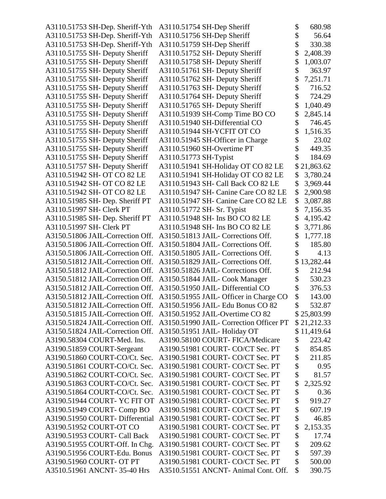A3110.51753 SH-Dep. Sheriff- $Yth$ A3110.51753 SH-Dep. Sheriff-Yth A3110.51753 SH-Dep. Sheriff- $Yth$ A3110.51755 SH- Deputy Sheriff A3110.51755 SH- Deputy Sheriff A3110.51755 SH- Deputy Sheriff A3110.51755 SH- Deputy Sheriff A3110.51755 SH- Deputy Sheriff A3110.51755 SH- Deputy Sheriff A3110.51755 SH- Deputy Sheriff A3110.51755 SH- Deputy Sheriff A3110.51755 SH- Deputy Sheriff A3110.51755 SH- Deputy Sheriff A3110.51755 SH- Deputy Sheriff A3110.51755 SH- Deputy Sheriff A3110.51755 SH- Deputy Sheriff A3110.51757 SH- Deputy Sheriff A3110.51942 SH- OT CO 82 LE A3110.51942 SH- OT CO 82 LE A3110.51942 SH- OT CO 82 LE A3110.51985 SH- Dep. Sheriff PT A3110.51997 SH- Clerk PT A3110.51985 SH- Dep. Sheriff PT A3110.51997 SH- Clerk PT A3150.51806 JAIL-Correction Off. A3150.51806 JAIL-Correction Off. A3150.51806 JAIL-Correction Off. A3150.51812 JAIL-Correction Off. A3150.51812 JAIL-Correction Off.  $A3150.51812$  JAIL-Correction Off. A3150.51812 JAIL-Correction Off. A3150.51812 JAIL-Correction Off. A3150.51812 JAIL-Correction Off. A3150.51815 JAIL-Correction Off. A3150.51824 JAIL-Correction Off. A3150.51824 JAIL-Correction Off. A3190.58304 COURT-Med. Ins. A3190.51859 COURT-Sergeant A3190.51860 COURT-CO/Ct. Sec. A3190.51861 COURT-CO/Ct. Sec. A3190.51862 COURT-CO/Ct. Sec. A3190.51863 COURT-CO/Ct. Sec. A3190.51864 COURT-CO/Ct. Sec. A3190.51944 COURT- YC FIT OT A3190.51949 COURT- Comp BO A3190.51950 COURT- Differential A3190.51952 COURT- OT CO A3190.51953 COURT- Call Back A3190.51955 COURT-Off. In Chg. A3190.51956 COURT-Edu. Bonus A3190.51960 COURT- OT PT A3510.51961 ANCNT- 35-40 Hrs

| A3110.51754 SH-Dep Sheriff              | \$            | 680.98      |
|-----------------------------------------|---------------|-------------|
| A3110.51756 SH-Dep Sheriff              | \$            | 56.64       |
| A3110.51759 SH-Dep Sheriff              | \$            | 330.38      |
| A3110.51752 SH- Deputy Sheriff          | \$            | 2,408.39    |
| A3110.51758 SH- Deputy Sheriff          | \$            | 1,003.07    |
| A3110.51761 SH- Deputy Sheriff          | \$            | 363.97      |
| A3110.51762 SH- Deputy Sheriff          | \$            | 7,251.71    |
| A3110.51763 SH- Deputy Sheriff          | \$            | 716.52      |
| A3110.51764 SH- Deputy Sheriff          | \$            | 724.29      |
| A3110.51765 SH- Deputy Sheriff          | \$            | 1,040.49    |
| A3110.51939 SH-Comp Time BO CO          | \$            | 2,845.14    |
| A3110.51940 SH-Differential CO          | \$            | 746.45      |
| A3110.51944 SH-YCFIT OT CO              | \$            | 1,516.35    |
| A3110.51945 SH-Officer in Charge        | \$            | 23.02       |
| A3110.51960 SH-Overtime PT              | \$            | 449.35      |
| A3110.51773 SH-Typist                   | \$            | 184.69      |
| A3110.51941 SH-Holiday OT CO 82 LE      |               | \$21,863.62 |
| A3110.51941 SH-Holiday OT CO 82 LE      | \$            | 3,780.24    |
| A3110.51943 SH- Call Back CO 82 LE      | \$            | 3,969.44    |
| A3110.51947 SH- Canine Care CO 82 LE    | \$            | 2,900.98    |
|                                         |               |             |
| A3110.51947 SH- Canine Care CO 82 LE    | \$            | 3,087.88    |
| A3110.51772 SH- Sr. Typist              | \$            | 7,156.35    |
| A3110.51948 SH- Ins BO CO 82 LE         | \$            | 4,195.42    |
| A3110.51948 SH- Ins BO CO 82 LE         | \$            | 3,771.86    |
| A3150.51813 JAIL- Corrections Off.      | \$            | 1,777.18    |
| A3150.51804 JAIL- Corrections Off.      | $\frac{1}{2}$ | 185.80      |
| A3150.51805 JAIL- Corrections Off.      | \$            | 4.13        |
| A3150.51829 JAIL- Corrections Off.      |               | \$13,282.44 |
| A3150.51826 JAIL- Corrections Off.      | \$            | 212.94      |
| A3150.51844 JAIL- Cook Manager          | $\frac{1}{2}$ | 530.23      |
| A3150.51950 JAIL-Differential CO        | \$            | 376.53      |
| A3150.51955 JAIL- Officer in Charge CO  | \$            | 143.00      |
| A3150.51956 JAIL- Edu Bonus CO 82       | \$            | 532.87      |
| A3150.51952 JAIL-Overtime CO 82         |               | \$25,803.99 |
| A3150.51990 JAIL- Correction Officer PT |               | \$21,212.33 |
| A3150.51951 JAIL-Holiday OT             |               | \$11,419.64 |
| A3190.58100 COURT- FICA/Medicare        | \$            | 223.42      |
| A3190.51981 COURT- CO/CT Sec. PT        | \$            | 854.85      |
| A3190.51981 COURT- CO/CT Sec. PT        | \$            | 211.85      |
| A3190.51981 COURT- CO/CT Sec. PT        | \$            | 0.95        |
| A3190.51981 COURT- CO/CT Sec. PT        | \$            | 81.57       |
| A3190.51981 COURT- CO/CT Sec. PT        | \$            | 2,325.92    |
| A3190.51981 COURT- CO/CT Sec. PT        | \$            | 0.36        |
| A3190.51981 COURT- CO/CT Sec. PT        | \$            | 919.27      |
| A3190.51981 COURT- CO/CT Sec. PT        | \$            | 607.19      |
| A3190.51981 COURT- CO/CT Sec. PT        | \$            | 46.85       |
| A3190.51981 COURT- CO/CT Sec. PT        | \$            | 2,153.35    |
| A3190.51981 COURT- CO/CT Sec. PT        | \$            | 17.74       |
| A3190.51981 COURT- CO/CT Sec. PT        | \$            | 209.62      |
| A3190.51981 COURT- CO/CT Sec. PT        | \$            | 597.39      |
| A3190.51981 COURT- CO/CT Sec. PT        | \$            | 500.00      |
| A3510.51551 ANCNT- Animal Cont. Off.    | \$            | 390.75      |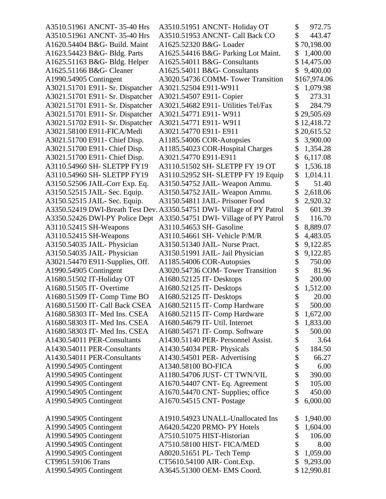| A3510.51961 ANCNT- 35-40 Hrs     | A3510.51951 ANCNT- Holiday OT                                          | \$<br>972.75    |
|----------------------------------|------------------------------------------------------------------------|-----------------|
| A3510.51961 ANCNT- 35-40 Hrs     | A3510.51953 ANCNT- Call Back CO                                        | \$<br>443.47    |
| A1620.54404 B&G- Build. Maint    | A1625.52320 B&G- Loader                                                | \$<br>70,198.00 |
| A1623.54423 B&G- Bldg. Parts     | A1625.54416 B&G- Parking Lot Maint.                                    | \$<br>1,400.00  |
| A1625.51163 B&G- Bldg. Helper    | A1625.54011 B&G- Consultants                                           | 14,475.00       |
| A1625.51166 B&G- Cleaner         | A1625.54011 B&G- Consultants                                           | \$<br>9,400.00  |
| A1990.54905 Contingent           | A3020.54736 COMM-Tower Transition                                      | \$167,974.06    |
| A3021.51701 E911- Sr. Dispatcher | A3021.52504 E911-W911                                                  | \$<br>1,079.98  |
| A3021.51701 E911- Sr. Dispatcher | A3021.54507 E911- Copier                                               | \$<br>273.31    |
| A3021.51701 E911- Sr. Dispatcher | A3021.54682 E911- Utilities Tel/Fax                                    | 284.79          |
| A3021.51701 E911- Sr. Dispatcher | A3021.54771 E911-W911                                                  | \$29,505.69     |
| A3021.51702 E911- Sr. Dispatcher | A3021.54771 E911-W911                                                  | \$12,418.72     |
| A3021.58100 E911-FICA/Medi       | A3021.54770 E911- E911                                                 | \$20,615.52     |
| A3021.51700 E911- Chief Disp.    | A1185.54006 COR-Autopsies                                              | \$<br>3,900.00  |
| A3021.51700 E911- Chief Disp.    | A1185.54023 COR-Hospital Charges                                       | \$<br>1,354.28  |
| A3021.51700 E911- Chief Disp.    | A3021.54770 E911-E911                                                  | \$<br>6,117.08  |
| A3110.54960 SH- SLETPP FY19      | A3110.51502 SH- SLETPP FY 19 OT                                        | \$<br>1,536.18  |
| A3110.54960 SH- SLETPP FY19      | A3110.52952 SH- SLETPP FY 19 Equip                                     | \$<br>1,014.11  |
| A3150.52506 JAIL-Corr Exp. Eq.   | A3150.54752 JAIL- Weapon Ammu.                                         | \$<br>51.40     |
| A3150.52515 JAIL- Sec. Equip.    | A3150.54752 JAIL-Weapon Ammu.                                          | \$<br>2,618.06  |
| A3150.52515 JAIL- Sec. Equip.    | A3150.54811 JAIL- Prisoner Food                                        | \$<br>2,920.32  |
|                                  | A3350.52419 DWI-Breath Test Dev. A3350.54751 DWI- Village of PY Patrol | \$<br>601.39    |
| A3350.52426 DWI-PY Police Dept   | A3350.54751 DWI- Village of PY Patrol                                  | \$<br>116.70    |
| A3110.52415 SH-Weapons           | A3110.54653 SH- Gasoline                                               | \$<br>8,889.07  |
| A3110.52415 SH-Weapons           | A3110.54661 SH- Vehicle P/M/R                                          | \$<br>4,483.05  |
| A3150.54035 JAIL-Physician       | A3150.51340 JAIL- Nurse Pract.                                         | 9,122.85        |
| A3150.54035 JAIL-Physician       | A3150.51991 JAIL- Jail Physician                                       | \$<br>9,122.85  |
| A3021.54470 E911-Supplies, Off.  | A1185.54006 COR-Autopsies                                              | \$<br>750.00    |
| A1990.54905 Contingent           | A3020.54736 COM-Tower Transition                                       | \$<br>81.96     |
| A1680.51502 IT-Holiday OT        | A1680.52125 IT- Desktops                                               | \$<br>200.00    |
| A1680.51505 IT- Overtime         | A1680.52125 IT- Desktops                                               | \$<br>1,512.00  |
| A1680.51509 IT- Comp Time BO     | A1680.52125 IT- Desktops                                               | \$<br>20.00     |
| A1680.51500 IT- Call Back CSEA   | A1680.52115 IT- Comp Hardware                                          | 500.00          |
| A1680.58303 IT- Med Ins. CSEA    | A1680.52115 IT- Comp Hardware                                          | \$<br>1,672.00  |
| A1680.58303 IT- Med Ins. CSEA    | A1680.54679 IT- Util. Internet                                         | \$<br>1,833.00  |
| A1680.58303 IT- Med Ins. CSEA    | A1680.54571 IT- Comp. Software                                         | \$<br>500.00    |
| A1430.54011 PER-Consultants      | A1430.51140 PER- Personnel Assist.                                     | \$<br>3.64      |
| A1430.54011 PER-Consultants      | A1430.54034 PER- Physicals                                             | \$<br>184.50    |
| A1430.54011 PER-Consultants      | A1430.54501 PER- Advertising                                           | \$<br>66.27     |
| A1990.54905 Contingent           | A1340.58100 BO-FICA                                                    | \$<br>6.00      |
| A1990.54905 Contingent           | A1180.54706 JUST- CT TWN/VIL                                           | \$<br>390.00    |
| A1990.54905 Contingent           | A1670.54407 CNT- Eq. Agreement                                         | \$<br>105.00    |
| A1990.54905 Contingent           | A1670.54470 CNT- Supplies; office                                      | \$<br>450.00    |
| A1990.54905 Contingent           | A1670.54515 CNT- Postage                                               | 6,000.00        |
|                                  |                                                                        |                 |
| A1990.54905 Contingent           | A1910.54923 UNALL-Unallocated Ins                                      | \$<br>1,940.00  |
| A1990.54905 Contingent           | A6420.54220 PRMO- PY Hotels                                            | \$<br>1,604.00  |
| A1990.54905 Contingent           | A7510.51075 HIST-Historian                                             | \$<br>106.00    |
| A1990.54905 Contingent           | A7510.58100 HIST-FICA/MED                                              | \$<br>8.00      |
| A1990.54905 Contingent           | A8020.51651 PL- Tech Temp                                              | \$<br>1,059.00  |
| CT9951.59106 Trans               | CT5610.54100 AIR- Cont.Exp.                                            | \$<br>9,293.00  |
| A1990.54905 Contingent           | A3645.51300 OEM- EMS Coord.                                            | \$12,990.81     |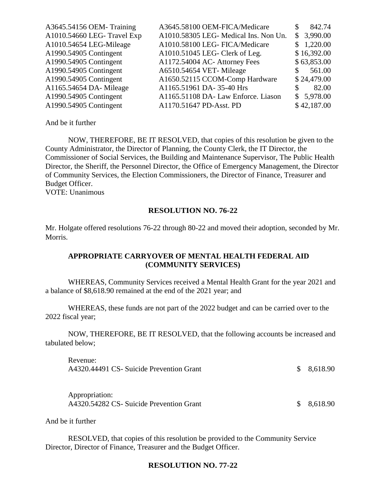| A3645.54156 OEM-Training    | A3645.58100 OEM-FICA/Medicare         | 842.74<br>\$. |
|-----------------------------|---------------------------------------|---------------|
| A1010.54660 LEG- Travel Exp | A1010.58305 LEG- Medical Ins. Non Un. | \$3,990.00    |
| A1010.54654 LEG-Mileage     | A1010.58100 LEG- FICA/Medicare        | \$1,220.00    |
| A1990.54905 Contingent      | A1010.51045 LEG- Clerk of Leg.        | \$16,392.00   |
| A1990.54905 Contingent      | A1172.54004 AC- Attorney Fees         | \$63,853.00   |
| A1990.54905 Contingent      | A6510.54654 VET-Mileage               | 561.00<br>S.  |
| A1990.54905 Contingent      | A1650.52115 CCOM-Comp Hardware        | \$24,479.00   |
| A1165.54654 DA- Mileage     | A1165.51961 DA-35-40 Hrs              | 82.00<br>\$.  |
| A1990.54905 Contingent      | A1165.51108 DA- Law Enforce. Liason   | \$5,978.00    |
| A1990.54905 Contingent      | A1170.51647 PD-Asst. PD               | \$42,187.00   |
|                             |                                       |               |

NOW, THEREFORE, BE IT RESOLVED, that copies of this resolution be given to the County Administrator, the Director of Planning, the County Clerk, the IT Director, the Commissioner of Social Services, the Building and Maintenance Supervisor, The Public Health Director, the Sheriff, the Personnel Director, the Office of Emergency Management, the Director of Community Services, the Election Commissioners, the Director of Finance, Treasurer and Budget Officer.

VOTE: Unanimous

#### **RESOLUTION NO. 76-22**

Mr. Holgate offered resolutions 76-22 through 80-22 and moved their adoption, seconded by Mr. Morris.

### **APPROPRIATE CARRYOVER OF MENTAL HEALTH FEDERAL AID (COMMUNITY SERVICES)**

WHEREAS, Community Services received a Mental Health Grant for the year 2021 and a balance of \$8,618.90 remained at the end of the 2021 year; and

WHEREAS, these funds are not part of the 2022 budget and can be carried over to the 2022 fiscal year;

NOW, THEREFORE, BE IT RESOLVED, that the following accounts be increased and tabulated below;

Revenue: A4320.44491 CS- Suicide Prevention Grant  $\qquad \qquad$  \$ 8.618.90

Appropriation: A4320.54282 CS- Suicide Prevention Grant  $\qquad \qquad$  \$ 8,618.90

And be it further

RESOLVED, that copies of this resolution be provided to the Community Service Director, Director of Finance, Treasurer and the Budget Officer.

#### **RESOLUTION NO. 77-22**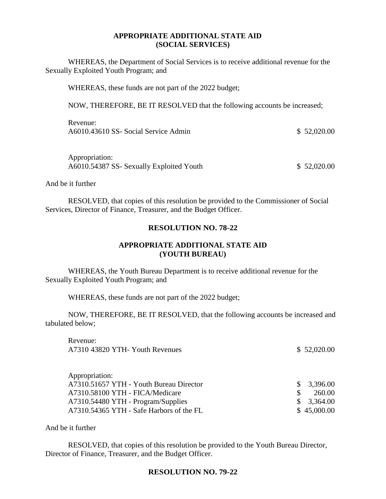### **APPROPRIATE ADDITIONAL STATE AID (SOCIAL SERVICES)**

WHEREAS, the Department of Social Services is to receive additional revenue for the Sexually Exploited Youth Program; and

WHEREAS, these funds are not part of the 2022 budget;

NOW, THEREFORE, BE IT RESOLVED that the following accounts be increased;

| Revenue:                             |             |
|--------------------------------------|-------------|
| A6010.43610 SS- Social Service Admin | \$52,020.00 |

| Appropriation:                           |             |
|------------------------------------------|-------------|
| A6010.54387 SS- Sexually Exploited Youth | \$52,020.00 |

And be it further

RESOLVED, that copies of this resolution be provided to the Commissioner of Social Services, Director of Finance, Treasurer, and the Budget Officer.

#### **RESOLUTION NO. 78-22**

## **APPROPRIATE ADDITIONAL STATE AID (YOUTH BUREAU)**

WHEREAS, the Youth Bureau Department is to receive additional revenue for the Sexually Exploited Youth Program; and

WHEREAS, these funds are not part of the 2022 budget;

NOW, THEREFORE, BE IT RESOLVED, that the following accounts be increased and tabulated below;

Revenue: A7310 43820 YTH- Youth Revenues \$ 52,020.00

| \$3,396.00  |
|-------------|
| 260.00      |
| \$3,364.00  |
| \$45,000.00 |
|             |

And be it further

RESOLVED, that copies of this resolution be provided to the Youth Bureau Director, Director of Finance, Treasurer, and the Budget Officer.

#### **RESOLUTION NO. 79-22**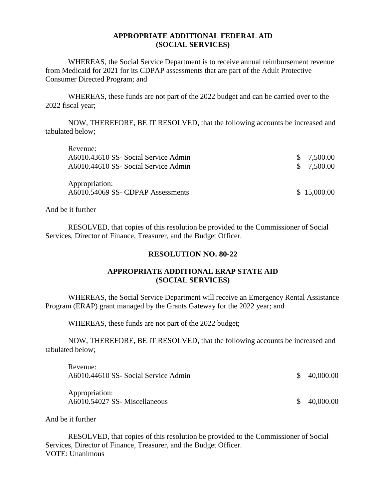### **APPROPRIATE ADDITIONAL FEDERAL AID (SOCIAL SERVICES)**

WHEREAS, the Social Service Department is to receive annual reimbursement revenue from Medicaid for 2021 for its CDPAP assessments that are part of the Adult Protective Consumer Directed Program; and

WHEREAS, these funds are not part of the 2022 budget and can be carried over to the 2022 fiscal year;

NOW, THEREFORE, BE IT RESOLVED, that the following accounts be increased and tabulated below;

| Revenue:                                           |             |
|----------------------------------------------------|-------------|
| A6010.43610 SS- Social Service Admin               | \$7,500.00  |
| A6010.44610 SS- Social Service Admin               | \$7,500.00  |
| Appropriation:<br>A6010.54069 SS-CDPAP Assessments | \$15,000.00 |

And be it further

RESOLVED, that copies of this resolution be provided to the Commissioner of Social Services, Director of Finance, Treasurer, and the Budget Officer.

### **RESOLUTION NO. 80-22**

## **APPROPRIATE ADDITIONAL ERAP STATE AID (SOCIAL SERVICES)**

WHEREAS, the Social Service Department will receive an Emergency Rental Assistance Program (ERAP) grant managed by the Grants Gateway for the 2022 year; and

WHEREAS, these funds are not part of the 2022 budget;

NOW, THEREFORE, BE IT RESOLVED, that the following accounts be increased and tabulated below;

| Revenue:<br>A6010.44610 SS- Social Service Admin | \$40,000.00 |
|--------------------------------------------------|-------------|
| Appropriation:<br>A6010.54027 SS-Miscellaneous   | \$40,000.00 |

And be it further

RESOLVED, that copies of this resolution be provided to the Commissioner of Social Services, Director of Finance, Treasurer, and the Budget Officer. VOTE: Unanimous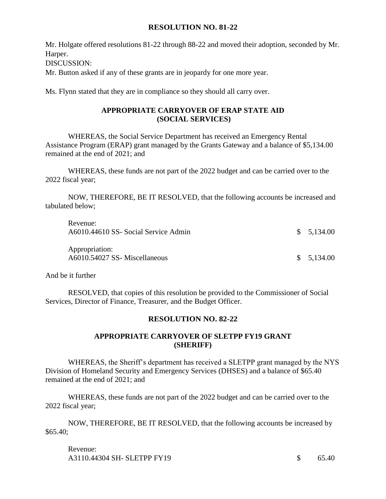### **RESOLUTION NO. 81-22**

Mr. Holgate offered resolutions 81-22 through 88-22 and moved their adoption, seconded by Mr. Harper.

DISCUSSION:

Mr. Button asked if any of these grants are in jeopardy for one more year.

Ms. Flynn stated that they are in compliance so they should all carry over.

## **APPROPRIATE CARRYOVER OF ERAP STATE AID (SOCIAL SERVICES)**

WHEREAS, the Social Service Department has received an Emergency Rental Assistance Program (ERAP) grant managed by the Grants Gateway and a balance of \$5,134.00 remained at the end of 2021; and

WHEREAS, these funds are not part of the 2022 budget and can be carried over to the 2022 fiscal year;

NOW, THEREFORE, BE IT RESOLVED, that the following accounts be increased and tabulated below;

| Revenue:                             |            |
|--------------------------------------|------------|
| A6010.44610 SS- Social Service Admin | \$5,134.00 |
|                                      |            |
| Appropriation:                       |            |
| A6010.54027 SS- Miscellaneous        | \$5,134.00 |
|                                      |            |

And be it further

RESOLVED, that copies of this resolution be provided to the Commissioner of Social Services, Director of Finance, Treasurer, and the Budget Officer.

## **RESOLUTION NO. 82-22**

## **APPROPRIATE CARRYOVER OF SLETPP FY19 GRANT (SHERIFF)**

WHEREAS, the Sheriff's department has received a SLETPP grant managed by the NYS Division of Homeland Security and Emergency Services (DHSES) and a balance of \$65.40 remained at the end of 2021; and

WHEREAS, these funds are not part of the 2022 budget and can be carried over to the 2022 fiscal year;

NOW, THEREFORE, BE IT RESOLVED, that the following accounts be increased by \$65.40;

Revenue: A3110.44304 SH- SLETPP FY19 \$ 65.40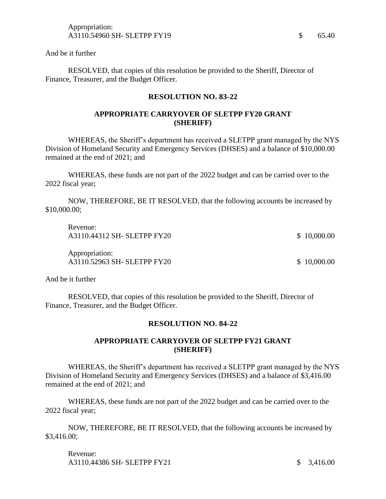RESOLVED, that copies of this resolution be provided to the Sheriff, Director of Finance, Treasurer, and the Budget Officer.

#### **RESOLUTION NO. 83-22**

### **APPROPRIATE CARRYOVER OF SLETPP FY20 GRANT (SHERIFF)**

WHEREAS, the Sheriff's department has received a SLETPP grant managed by the NYS Division of Homeland Security and Emergency Services (DHSES) and a balance of \$10,000.00 remained at the end of 2021; and

WHEREAS, these funds are not part of the 2022 budget and can be carried over to the 2022 fiscal year;

NOW, THEREFORE, BE IT RESOLVED, that the following accounts be increased by \$10,000.00;

| Revenue:<br>A3110.44312 SH- SLETPP FY20       | \$10,000.00 |
|-----------------------------------------------|-------------|
| Appropriation:<br>A3110.52963 SH- SLETPP FY20 | \$10,000.00 |

And be it further

RESOLVED, that copies of this resolution be provided to the Sheriff, Director of Finance, Treasurer, and the Budget Officer.

### **RESOLUTION NO. 84-22**

### **APPROPRIATE CARRYOVER OF SLETPP FY21 GRANT (SHERIFF)**

WHEREAS, the Sheriff's department has received a SLETPP grant managed by the NYS Division of Homeland Security and Emergency Services (DHSES) and a balance of \$3,416.00 remained at the end of 2021; and

WHEREAS, these funds are not part of the 2022 budget and can be carried over to the 2022 fiscal year;

NOW, THEREFORE, BE IT RESOLVED, that the following accounts be increased by \$3,416.00;

Revenue: A3110.44386 SH- SLETPP FY21 \$ 3.416.00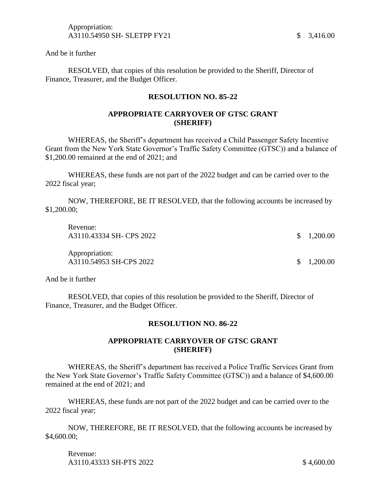RESOLVED, that copies of this resolution be provided to the Sheriff, Director of Finance, Treasurer, and the Budget Officer.

#### **RESOLUTION NO. 85-22**

### **APPROPRIATE CARRYOVER OF GTSC GRANT (SHERIFF)**

WHEREAS, the Sheriff's department has received a Child Passenger Safety Incentive Grant from the New York State Governor's Traffic Safety Committee (GTSC)) and a balance of \$1,200.00 remained at the end of 2021; and

WHEREAS, these funds are not part of the 2022 budget and can be carried over to the 2022 fiscal year;

NOW, THEREFORE, BE IT RESOLVED, that the following accounts be increased by \$1,200.00;

| Revenue:<br>A3110.43334 SH- CPS 2022      | $\frac{\$}{1,200.00}$ |
|-------------------------------------------|-----------------------|
| Appropriation:<br>A3110.54953 SH-CPS 2022 | \$1,200.00            |

And be it further

RESOLVED, that copies of this resolution be provided to the Sheriff, Director of Finance, Treasurer, and the Budget Officer.

### **RESOLUTION NO. 86-22**

### **APPROPRIATE CARRYOVER OF GTSC GRANT (SHERIFF)**

WHEREAS, the Sheriff's department has received a Police Traffic Services Grant from the New York State Governor's Traffic Safety Committee (GTSC)) and a balance of \$4,600.00 remained at the end of 2021; and

WHEREAS, these funds are not part of the 2022 budget and can be carried over to the 2022 fiscal year;

NOW, THEREFORE, BE IT RESOLVED, that the following accounts be increased by \$4,600.00;

Revenue: A3110.43333 SH-PTS 2022 \$ 4,600.00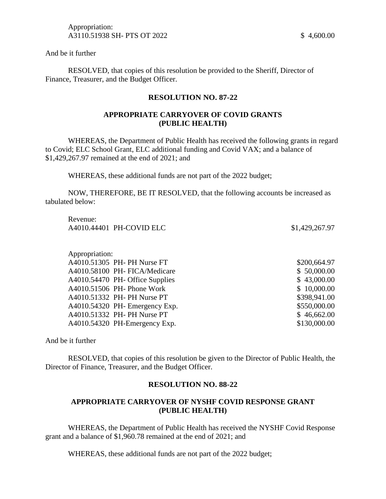RESOLVED, that copies of this resolution be provided to the Sheriff, Director of Finance, Treasurer, and the Budget Officer.

#### **RESOLUTION NO. 87-22**

### **APPROPRIATE CARRYOVER OF COVID GRANTS (PUBLIC HEALTH)**

WHEREAS, the Department of Public Health has received the following grants in regard to Covid; ELC School Grant, ELC additional funding and Covid VAX; and a balance of \$1,429,267.97 remained at the end of 2021; and

WHEREAS, these additional funds are not part of the 2022 budget;

NOW, THEREFORE, BE IT RESOLVED, that the following accounts be increased as tabulated below:

Revenue: A4010.44401 PH-COVID ELC \$1,429,267.97

Appropriation: A4010.51305 PH- PH Nurse FT \$200,664.97 A4010.58100 PH- FICA/Medicare \$ 50,000.00 A4010.54470 PH- Office Supplies \$ 43,000.00 A4010.51506 PH- Phone Work \$ 10,000.00 A4010.51332 PH- PH Nurse PT \$398,941.00 A4010.54320 PH- Emergency Exp. \$550,000.00 A4010.51332 PH- PH Nurse PT \$ 46,662.00 A4010.54320 PH-Emergency Exp. \$130,000.00

And be it further

RESOLVED, that copies of this resolution be given to the Director of Public Health, the Director of Finance, Treasurer, and the Budget Officer.

### **RESOLUTION NO. 88-22**

## **APPROPRIATE CARRYOVER OF NYSHF COVID RESPONSE GRANT (PUBLIC HEALTH)**

WHEREAS, the Department of Public Health has received the NYSHF Covid Response grant and a balance of \$1,960.78 remained at the end of 2021; and

WHEREAS, these additional funds are not part of the 2022 budget;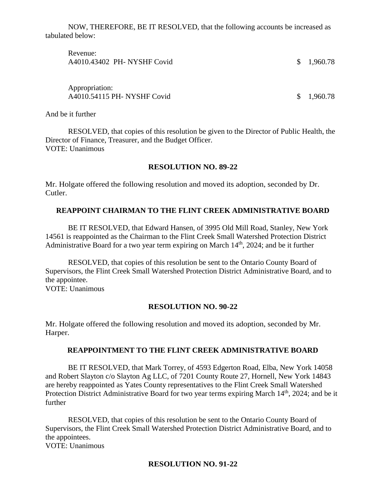NOW, THEREFORE, BE IT RESOLVED, that the following accounts be increased as tabulated below:

| Revenue:<br>A4010.43402 PH- NYSHF Covid       | \$1,960.78 |
|-----------------------------------------------|------------|
| Appropriation:<br>A4010.54115 PH- NYSHF Covid | \$1,960.78 |

And be it further

RESOLVED, that copies of this resolution be given to the Director of Public Health, the Director of Finance, Treasurer, and the Budget Officer. VOTE: Unanimous

### **RESOLUTION NO. 89-22**

Mr. Holgate offered the following resolution and moved its adoption, seconded by Dr. Cutler.

## **REAPPOINT CHAIRMAN TO THE FLINT CREEK ADMINISTRATIVE BOARD**

BE IT RESOLVED, that Edward Hansen, of 3995 Old Mill Road, Stanley, New York 14561 is reappointed as the Chairman to the Flint Creek Small Watershed Protection District Administrative Board for a two year term expiring on March  $14<sup>th</sup>$ ,  $2024$ ; and be it further

RESOLVED, that copies of this resolution be sent to the Ontario County Board of Supervisors, the Flint Creek Small Watershed Protection District Administrative Board, and to the appointee. VOTE: Unanimous

### **RESOLUTION NO. 90-22**

Mr. Holgate offered the following resolution and moved its adoption, seconded by Mr. Harper.

### **REAPPOINTMENT TO THE FLINT CREEK ADMINISTRATIVE BOARD**

BE IT RESOLVED, that Mark Torrey, of 4593 Edgerton Road, Elba, New York 14058 and Robert Slayton c/o Slayton Ag LLC, of 7201 County Route 27, Hornell, New York 14843 are hereby reappointed as Yates County representatives to the Flint Creek Small Watershed Protection District Administrative Board for two year terms expiring March 14<sup>th</sup>, 2024; and be it further

RESOLVED, that copies of this resolution be sent to the Ontario County Board of Supervisors, the Flint Creek Small Watershed Protection District Administrative Board, and to the appointees.

VOTE: Unanimous

### **RESOLUTION NO. 91-22**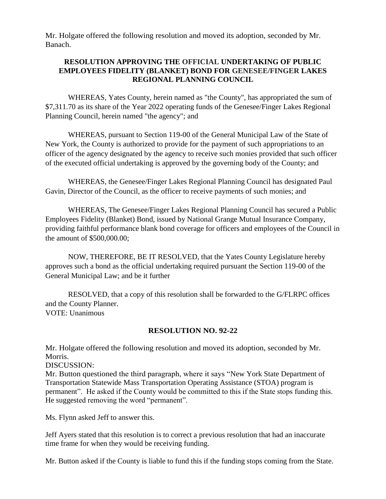Mr. Holgate offered the following resolution and moved its adoption, seconded by Mr. Banach.

## **RESOLUTION APPROVING THE OFFICIAL UNDERTAKING OF PUBLIC EMPLOYEES FIDELITY (BLANKET) BOND FOR GENESEE/FINGER LAKES REGIONAL PLANNING COUNCIL**

WHEREAS, Yates County, herein named as "the County", has appropriated the sum of \$7,311.70 as its share of the Year 2022 operating funds of the Genesee/Finger Lakes Regional Planning Council, herein named "the agency"; and

WHEREAS, pursuant to Section 119-00 of the General Municipal Law of the State of New York, the County is authorized to provide for the payment of such appropriations to an officer of the agency designated by the agency to receive such monies provided that such officer of the executed official undertaking is approved by the governing body of the County; and

WHEREAS, the Genesee/Finger Lakes Regional Planning Council has designated Paul Gavin, Director of the Council, as the officer to receive payments of such monies; and

WHEREAS, The Genesee/Finger Lakes Regional Planning Council has secured a Public Employees Fidelity (Blanket) Bond, issued by National Grange Mutual Insurance Company, providing faithful performance blank bond coverage for officers and employees of the Council in the amount of \$500,000.00;

NOW, THEREFORE, BE IT RESOLVED, that the Yates County Legislature hereby approves such a bond as the official undertaking required pursuant the Section 119-00 of the General Municipal Law; and be it further

RESOLVED, that a copy of this resolution shall be forwarded to the G/FLRPC offices and the County Planner. VOTE: Unanimous

## **RESOLUTION NO. 92-22**

Mr. Holgate offered the following resolution and moved its adoption, seconded by Mr. Morris.

DISCUSSION:

Mr. Button questioned the third paragraph, where it says "New York State Department of Transportation Statewide Mass Transportation Operating Assistance (STOA) program is permanent". He asked if the County would be committed to this if the State stops funding this. He suggested removing the word "permanent".

Ms. Flynn asked Jeff to answer this.

Jeff Ayers stated that this resolution is to correct a previous resolution that had an inaccurate time frame for when they would be receiving funding.

Mr. Button asked if the County is liable to fund this if the funding stops coming from the State.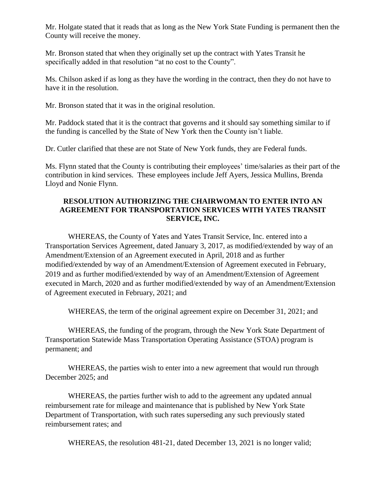Mr. Holgate stated that it reads that as long as the New York State Funding is permanent then the County will receive the money.

Mr. Bronson stated that when they originally set up the contract with Yates Transit he specifically added in that resolution "at no cost to the County".

Ms. Chilson asked if as long as they have the wording in the contract, then they do not have to have it in the resolution.

Mr. Bronson stated that it was in the original resolution.

Mr. Paddock stated that it is the contract that governs and it should say something similar to if the funding is cancelled by the State of New York then the County isn't liable.

Dr. Cutler clarified that these are not State of New York funds, they are Federal funds.

Ms. Flynn stated that the County is contributing their employees' time/salaries as their part of the contribution in kind services. These employees include Jeff Ayers, Jessica Mullins, Brenda Lloyd and Nonie Flynn.

## **RESOLUTION AUTHORIZING THE CHAIRWOMAN TO ENTER INTO AN AGREEMENT FOR TRANSPORTATION SERVICES WITH YATES TRANSIT SERVICE, INC.**

WHEREAS, the County of Yates and Yates Transit Service, Inc. entered into a Transportation Services Agreement, dated January 3, 2017, as modified/extended by way of an Amendment/Extension of an Agreement executed in April, 2018 and as further modified/extended by way of an Amendment/Extension of Agreement executed in February, 2019 and as further modified/extended by way of an Amendment/Extension of Agreement executed in March, 2020 and as further modified/extended by way of an Amendment/Extension of Agreement executed in February, 2021; and

WHEREAS, the term of the original agreement expire on December 31, 2021; and

WHEREAS, the funding of the program, through the New York State Department of Transportation Statewide Mass Transportation Operating Assistance (STOA) program is permanent; and

WHEREAS, the parties wish to enter into a new agreement that would run through December 2025; and

WHEREAS, the parties further wish to add to the agreement any updated annual reimbursement rate for mileage and maintenance that is published by New York State Department of Transportation, with such rates superseding any such previously stated reimbursement rates; and

WHEREAS, the resolution 481-21, dated December 13, 2021 is no longer valid;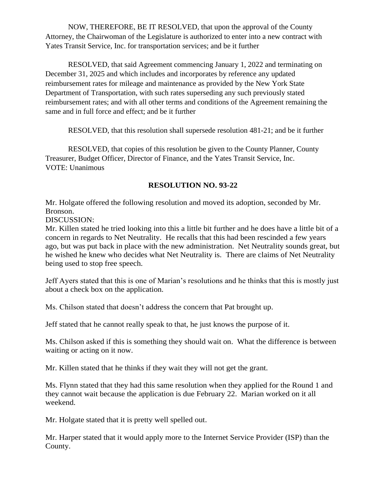NOW, THEREFORE, BE IT RESOLVED, that upon the approval of the County Attorney, the Chairwoman of the Legislature is authorized to enter into a new contract with Yates Transit Service, Inc. for transportation services; and be it further

RESOLVED, that said Agreement commencing January 1, 2022 and terminating on December 31, 2025 and which includes and incorporates by reference any updated reimbursement rates for mileage and maintenance as provided by the New York State Department of Transportation, with such rates superseding any such previously stated reimbursement rates; and with all other terms and conditions of the Agreement remaining the same and in full force and effect; and be it further

RESOLVED, that this resolution shall supersede resolution 481-21; and be it further

RESOLVED, that copies of this resolution be given to the County Planner, County Treasurer, Budget Officer, Director of Finance, and the Yates Transit Service, Inc. VOTE: Unanimous

## **RESOLUTION NO. 93-22**

Mr. Holgate offered the following resolution and moved its adoption, seconded by Mr. Bronson.

DISCUSSION:

Mr. Killen stated he tried looking into this a little bit further and he does have a little bit of a concern in regards to Net Neutrality. He recalls that this had been rescinded a few years ago, but was put back in place with the new administration. Net Neutrality sounds great, but he wished he knew who decides what Net Neutrality is. There are claims of Net Neutrality being used to stop free speech.

Jeff Ayers stated that this is one of Marian's resolutions and he thinks that this is mostly just about a check box on the application.

Ms. Chilson stated that doesn't address the concern that Pat brought up.

Jeff stated that he cannot really speak to that, he just knows the purpose of it.

Ms. Chilson asked if this is something they should wait on. What the difference is between waiting or acting on it now.

Mr. Killen stated that he thinks if they wait they will not get the grant.

Ms. Flynn stated that they had this same resolution when they applied for the Round 1 and they cannot wait because the application is due February 22. Marian worked on it all weekend.

Mr. Holgate stated that it is pretty well spelled out.

Mr. Harper stated that it would apply more to the Internet Service Provider (ISP) than the County.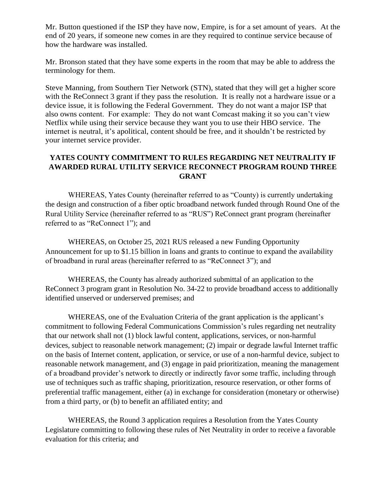Mr. Button questioned if the ISP they have now, Empire, is for a set amount of years. At the end of 20 years, if someone new comes in are they required to continue service because of how the hardware was installed.

Mr. Bronson stated that they have some experts in the room that may be able to address the terminology for them.

Steve Manning, from Southern Tier Network (STN), stated that they will get a higher score with the ReConnect 3 grant if they pass the resolution. It is really not a hardware issue or a device issue, it is following the Federal Government. They do not want a major ISP that also owns content. For example: They do not want Comcast making it so you can't view Netflix while using their service because they want you to use their HBO service. The internet is neutral, it's apolitical, content should be free, and it shouldn't be restricted by your internet service provider.

# **YATES COUNTY COMMITMENT TO RULES REGARDING NET NEUTRALITY IF AWARDED RURAL UTILITY SERVICE RECONNECT PROGRAM ROUND THREE GRANT**

WHEREAS, Yates County (hereinafter referred to as "County) is currently undertaking the design and construction of a fiber optic broadband network funded through Round One of the Rural Utility Service (hereinafter referred to as "RUS") ReConnect grant program (hereinafter referred to as "ReConnect 1"); and

WHEREAS, on October 25, 2021 RUS released a new Funding Opportunity Announcement for up to \$1.15 billion in loans and grants to continue to expand the availability of broadband in rural areas (hereinafter referred to as "ReConnect 3"); and

WHEREAS, the County has already authorized submittal of an application to the ReConnect 3 program grant in Resolution No. 34-22 to provide broadband access to additionally identified unserved or underserved premises; and

WHEREAS, one of the Evaluation Criteria of the grant application is the applicant's commitment to following Federal Communications Commission's rules regarding net neutrality that our network shall not (1) block lawful content, applications, services, or non-harmful devices, subject to reasonable network management; (2) impair or degrade lawful Internet traffic on the basis of Internet content, application, or service, or use of a non-harmful device, subject to reasonable network management, and (3) engage in paid prioritization, meaning the management of a broadband provider's network to directly or indirectly favor some traffic, including through use of techniques such as traffic shaping, prioritization, resource reservation, or other forms of preferential traffic management, either (a) in exchange for consideration (monetary or otherwise) from a third party, or (b) to benefit an affiliated entity; and

WHEREAS, the Round 3 application requires a Resolution from the Yates County Legislature committing to following these rules of Net Neutrality in order to receive a favorable evaluation for this criteria; and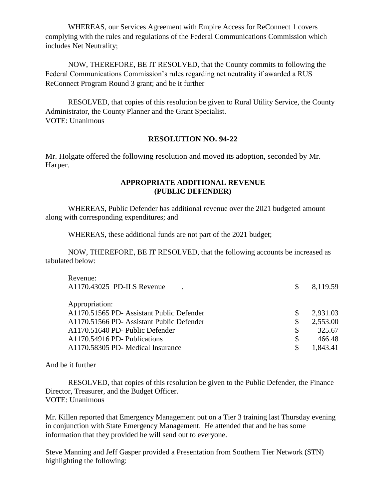WHEREAS, our Services Agreement with Empire Access for ReConnect 1 covers complying with the rules and regulations of the Federal Communications Commission which includes Net Neutrality;

NOW, THEREFORE, BE IT RESOLVED, that the County commits to following the Federal Communications Commission's rules regarding net neutrality if awarded a RUS ReConnect Program Round 3 grant; and be it further

RESOLVED, that copies of this resolution be given to Rural Utility Service, the County Administrator, the County Planner and the Grant Specialist. VOTE: Unanimous

## **RESOLUTION NO. 94-22**

Mr. Holgate offered the following resolution and moved its adoption, seconded by Mr. Harper.

#### **APPROPRIATE ADDITIONAL REVENUE (PUBLIC DEFENDER)**

WHEREAS, Public Defender has additional revenue over the 2021 budgeted amount along with corresponding expenditures; and

WHEREAS, these additional funds are not part of the 2021 budget;

NOW, THEREFORE, BE IT RESOLVED, that the following accounts be increased as tabulated below:

| Revenue:                                  |                |
|-------------------------------------------|----------------|
| A1170.43025 PD-ILS Revenue                | 8,119.59       |
|                                           |                |
| Appropriation:                            |                |
| A1170.51565 PD- Assistant Public Defender | 2,931.03       |
| A1170.51566 PD- Assistant Public Defender | \$<br>2,553.00 |
| A1170.51640 PD- Public Defender           | \$<br>325.67   |
| A1170.54916 PD- Publications              | \$<br>466.48   |
| A1170.58305 PD- Medical Insurance         | 1.843.41       |
|                                           |                |

And be it further

RESOLVED, that copies of this resolution be given to the Public Defender, the Finance Director, Treasurer, and the Budget Officer. VOTE: Unanimous

Mr. Killen reported that Emergency Management put on a Tier 3 training last Thursday evening in conjunction with State Emergency Management. He attended that and he has some information that they provided he will send out to everyone.

Steve Manning and Jeff Gasper provided a Presentation from Southern Tier Network (STN) highlighting the following: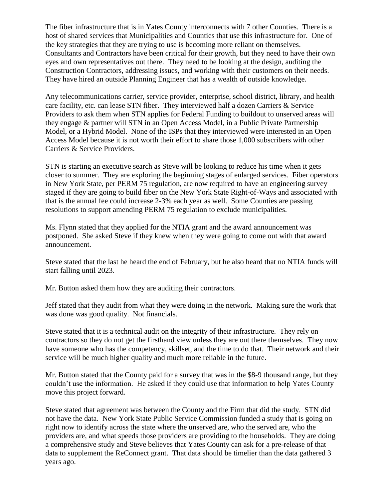The fiber infrastructure that is in Yates County interconnects with 7 other Counties. There is a host of shared services that Municipalities and Counties that use this infrastructure for. One of the key strategies that they are trying to use is becoming more reliant on themselves. Consultants and Contractors have been critical for their growth, but they need to have their own eyes and own representatives out there. They need to be looking at the design, auditing the Construction Contractors, addressing issues, and working with their customers on their needs. They have hired an outside Planning Engineer that has a wealth of outside knowledge.

Any telecommunications carrier, service provider, enterprise, school district, library, and health care facility, etc. can lease STN fiber. They interviewed half a dozen Carriers & Service Providers to ask them when STN applies for Federal Funding to buildout to unserved areas will they engage & partner will STN in an Open Access Model, in a Public Private Partnership Model, or a Hybrid Model. None of the ISPs that they interviewed were interested in an Open Access Model because it is not worth their effort to share those 1,000 subscribers with other Carriers & Service Providers.

STN is starting an executive search as Steve will be looking to reduce his time when it gets closer to summer. They are exploring the beginning stages of enlarged services. Fiber operators in New York State, per PERM 75 regulation, are now required to have an engineering survey staged if they are going to build fiber on the New York State Right-of-Ways and associated with that is the annual fee could increase 2-3% each year as well. Some Counties are passing resolutions to support amending PERM 75 regulation to exclude municipalities.

Ms. Flynn stated that they applied for the NTIA grant and the award announcement was postponed. She asked Steve if they knew when they were going to come out with that award announcement.

Steve stated that the last he heard the end of February, but he also heard that no NTIA funds will start falling until 2023.

Mr. Button asked them how they are auditing their contractors.

Jeff stated that they audit from what they were doing in the network. Making sure the work that was done was good quality. Not financials.

Steve stated that it is a technical audit on the integrity of their infrastructure. They rely on contractors so they do not get the firsthand view unless they are out there themselves. They now have someone who has the competency, skillset, and the time to do that. Their network and their service will be much higher quality and much more reliable in the future.

Mr. Button stated that the County paid for a survey that was in the \$8-9 thousand range, but they couldn't use the information. He asked if they could use that information to help Yates County move this project forward.

Steve stated that agreement was between the County and the Firm that did the study. STN did not have the data. New York State Public Service Commission funded a study that is going on right now to identify across the state where the unserved are, who the served are, who the providers are, and what speeds those providers are providing to the households. They are doing a comprehensive study and Steve believes that Yates County can ask for a pre-release of that data to supplement the ReConnect grant. That data should be timelier than the data gathered 3 years ago.